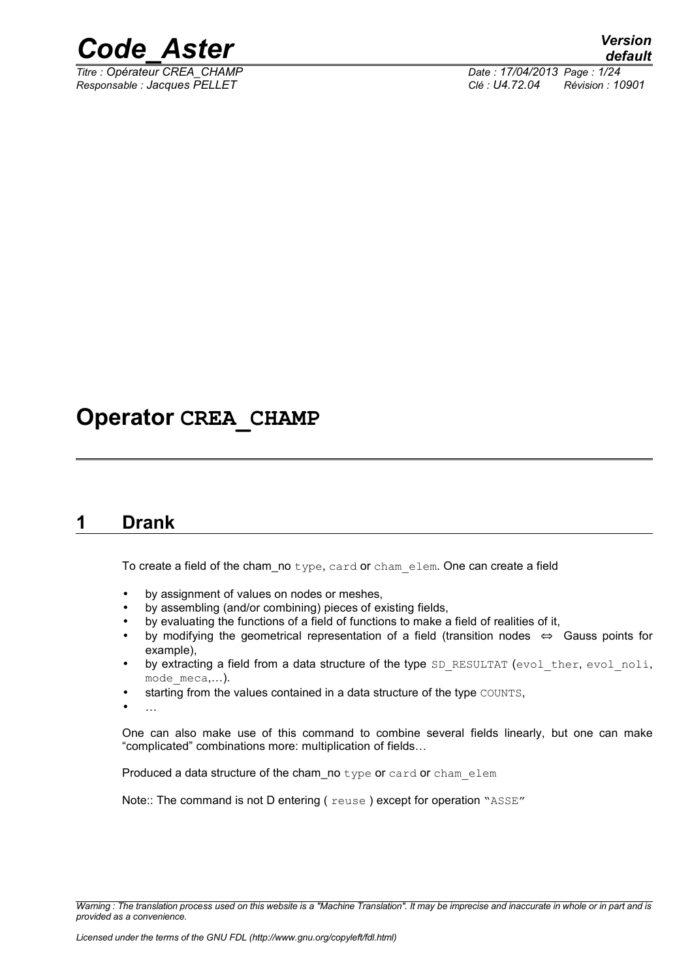

*Titre : Opérateur CREA\_CHAMP Date : 17/04/2013 Page : 1/24*

*Responsable : Jacques PELLET Clé : U4.72.04 Révision : 10901*

### **Operator CREA\_CHAMP**

#### <span id="page-0-0"></span>**1 Drank**

To create a field of the cham no type, card or chamelem. One can create a field

- by assignment of values on nodes or meshes,
- by assembling (and/or combining) pieces of existing fields,
- by evaluating the functions of a field of functions to make a field of realities of it,
- by modifying the geometrical representation of a field (transition nodes ⇔ Gauss points for example),
- by extracting a field from a data structure of the type SD\_RESULTAT (evol\_ther, evol\_noli, mode meca,...).
- starting from the values contained in a data structure of the type COUNTS,
- …

One can also make use of this command to combine several fields linearly, but one can make "complicated" combinations more: multiplication of fields…

Produced a data structure of the cham no type or card or cham elem

Note:: The command is not D entering (reuse) except for operation "ASSE"

*Warning : The translation process used on this website is a "Machine Translation". It may be imprecise and inaccurate in whole or in part and is provided as a convenience.*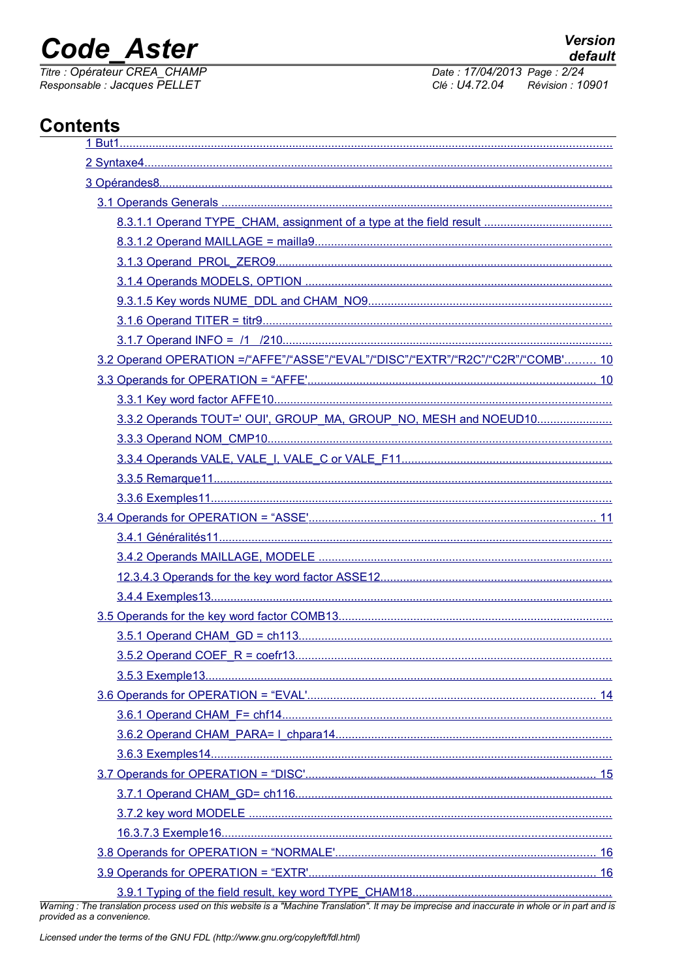### **Code Aster**

Titre : Opérateur CREA\_CHAMP<br>Responsable : Jacques PELLET

Date: 17/04/2013 Page: 2/24 Clé : U4.72.04 Révision : 10901

### **Contents**

| 3.2 Operand OPERATION =/"AFFE"/"ASSE"/"EVAL"/"DISC"/"EXTR"/"R2C"/"C2R"/"COMB' 10 |  |
|----------------------------------------------------------------------------------|--|
|                                                                                  |  |
|                                                                                  |  |
| 3.3.2 Operands TOUT=' OUI', GROUP_MA, GROUP_NO, MESH and NOEUD10                 |  |
|                                                                                  |  |
|                                                                                  |  |
|                                                                                  |  |
|                                                                                  |  |
|                                                                                  |  |
|                                                                                  |  |
|                                                                                  |  |
|                                                                                  |  |
|                                                                                  |  |
|                                                                                  |  |
|                                                                                  |  |
|                                                                                  |  |
|                                                                                  |  |
|                                                                                  |  |
|                                                                                  |  |
|                                                                                  |  |
|                                                                                  |  |
|                                                                                  |  |
|                                                                                  |  |
|                                                                                  |  |
|                                                                                  |  |
|                                                                                  |  |
|                                                                                  |  |
|                                                                                  |  |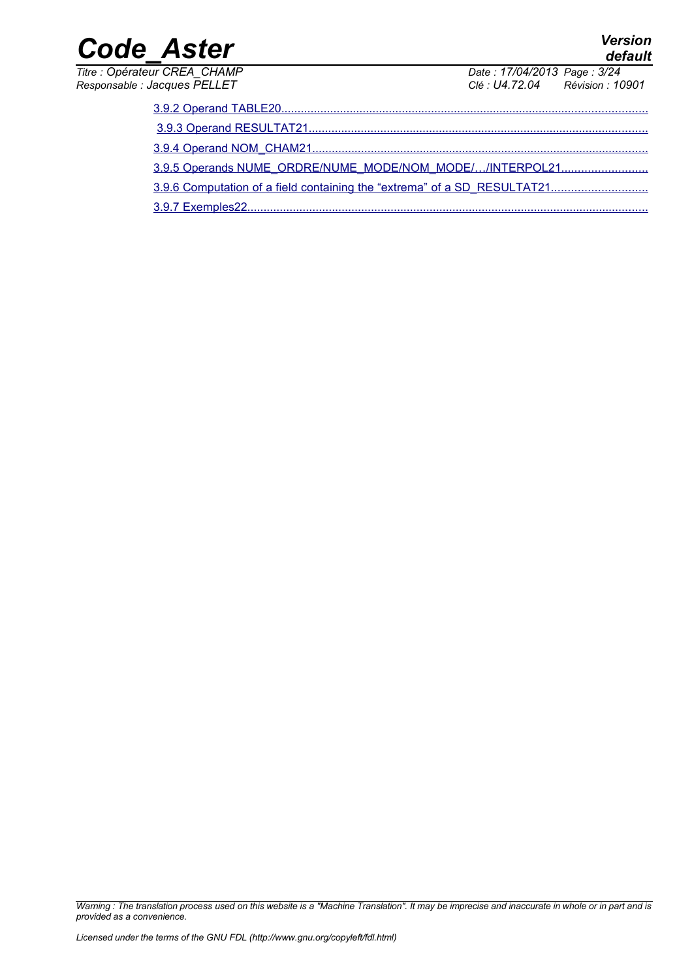| Titre : Opérateur CREA CHAMP |  |
|------------------------------|--|
| Responsable : Jacques PELLET |  |

*default*

*Date : 17/04/2013 Page : 3/24*<br>*Clé : U4.72.04 Révision : 10 Responsable : Jacques PELLET Clé : U4.72.04 Révision : 10901*

| 3.9.5 Operands NUME_ORDRE/NUME_MODE/NOM_MODE//INTERPOL21 |
|----------------------------------------------------------|
|                                                          |
| 3.9.7 Exemples 22.                                       |

*Warning : The translation process used on this website is a "Machine Translation". It may be imprecise and inaccurate in whole or in part and is provided as a convenience.*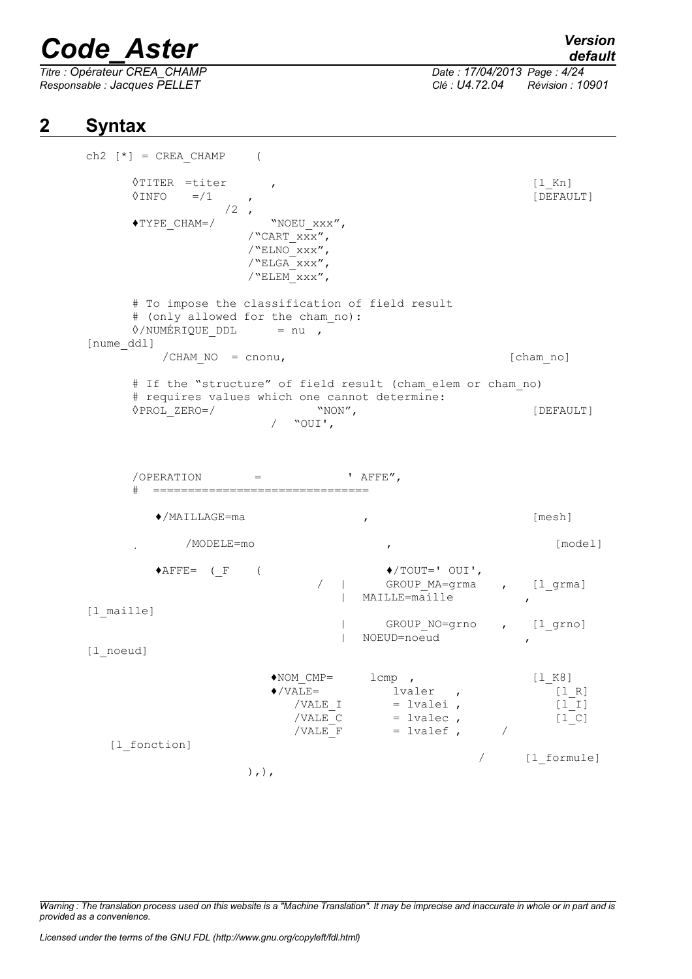*Titre : Opérateur CREA\_CHAMP Date : 17/04/2013 Page : 4/24*

*Responsable : Jacques PELLET Clé : U4.72.04 Révision : 10901*

#### **2 Syntax**

```
ch2 [ * ] = CREA CHAMP (
     ◊TITER =titer ,<br>◊INFO =/1 , (DEFAULT)
     \DiamondINFO =/1 ,
                 /2,
     \begin{array}{ll}\texttt{\#Type CHAM=}/ & \texttt{\#NOEU\_xxx''}, \end{array}/"CART_xxx",
                    /"ELNO\overline{X}xx",
                    /"ELGA_xxx",
                    /"ELEM\overline{XXX''},
     # To impose the classification of field result
     # (only allowed for the cham_no):
     \Diamond/NUMÉRIQUE DDL = nu ,
[nume_ddl]
         /CHAM_NO = cnonu, [cham_no]
     # If the "structure" of field result (cham_elem or cham_no) 
     # requires values which one cannot determine:
     ◊PROL_ZERO=/ "NON", [DEFAULT]
                       / "OUI',
     \angle OPERATION = \angle AFFE",
     # ===============================
        ♦/MAILLAGE=ma , [mesh]
             /MODELE=mo , [model]
        \blacklozengeAFFE= (F ( \blacklozenge ) \blacklozenge /TOUT=' OUI',
                                / | GROUP_MA=grma , [l_grma]
                                | MAILLE=maille
[l_maille]
                                | GROUP_NO=grno , [l_grno]
                                | NOEUD=noeud ,
[l_noeud]
                       ♦NOM_CMP= lcmp , [l_K8]
                       \sqrt{VALE} = lvaler , [1_R]<br>/VALE I = lvalei , [1_I]/VALE I = lvalei ,
                          \sqrt{\text{VALE C}} = lvalec , [1\ \text{C}]/VALE F = lvalef , /
   [1 fonction]
                                                  / [l_formule]
                    ),),
```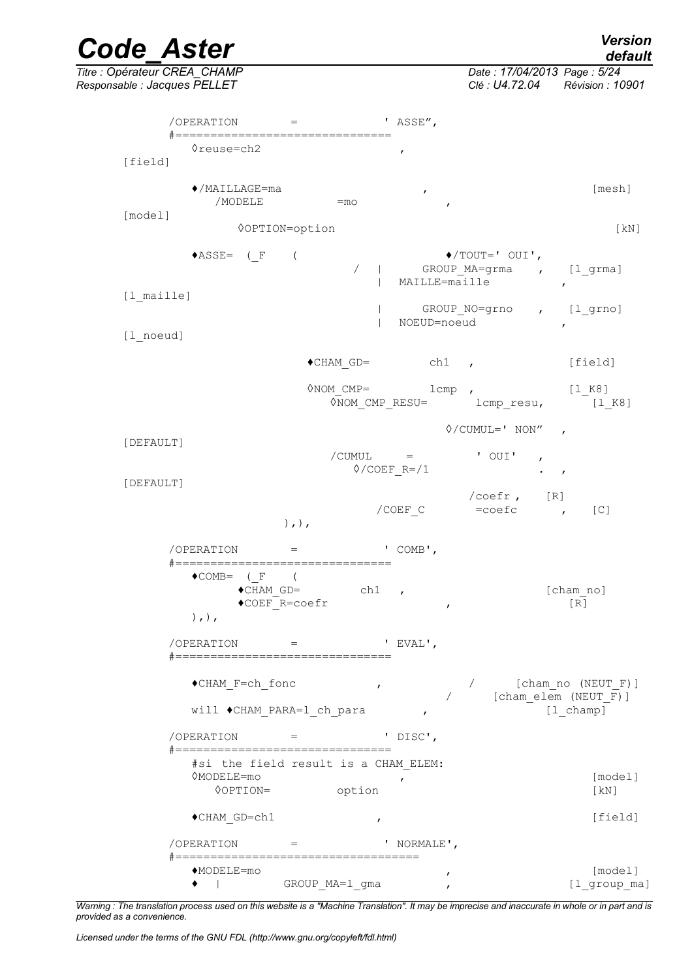|           | <b>Code Aster</b>                                                          |                                                                  |                                                                              |                                                                | <b>Version</b><br>default                                   |
|-----------|----------------------------------------------------------------------------|------------------------------------------------------------------|------------------------------------------------------------------------------|----------------------------------------------------------------|-------------------------------------------------------------|
|           | Titre : Opérateur CREA_CHAMP<br>Responsable : Jacques PELLET               |                                                                  |                                                                              | Date: 17/04/2013 Page: 5/24<br>Clé : U4.72.04 Révision : 10901 |                                                             |
|           | $/OPERATION =$ 'ASSE",                                                     |                                                                  |                                                                              |                                                                |                                                             |
| [field]   | #================================<br>≬reuse=ch2                            |                                                                  | $\pmb{r}$                                                                    |                                                                |                                                             |
|           | $\blacklozenge$ /MAILLAGE=ma<br>/MODELE                                    | $=$ mo                                                           | $\pmb{r}$<br>$\boldsymbol{r}$                                                |                                                                | [mesh]                                                      |
| [model]   |                                                                            | <b>OOPTION=option</b>                                            |                                                                              |                                                                | $\lceil kN \rceil$                                          |
|           | $\triangle$ ASSE= (F                                                       | $\overline{ }$<br>$\sqrt{2}$                                     | MAILLE=maille                                                                | $\blacklozenge$ /TOUT=' OUI',<br>GROUP MA=grma , [l grma]      | $\mathbf{r}$                                                |
|           | [1 maille]<br>[1 noeud]                                                    |                                                                  | NOEUD=noeud                                                                  | GROUP NO=grno , [l_grno]                                       | $\mathbf{r}$                                                |
|           |                                                                            | $\bullet$ CHAM GD=                                               | $ch1$ ,                                                                      |                                                                | [field]                                                     |
|           |                                                                            | $\Diamond$ NOM CMP=                                              |                                                                              | $1$ cmp $\prime$<br>0NOM_CMP_RESU= lcmp_resu, [1_K8]           | [1 K8]                                                      |
|           |                                                                            |                                                                  |                                                                              | $\Diamond$ /CUMUL=' NON",                                      |                                                             |
|           | [DEFAULT]                                                                  |                                                                  | $\overline{\smash{\big)}$ $\subset$ UMUL $\qquad$ =<br>$\Diamond$ /COEF R=/1 | ' OUI'<br>$\mathbf{r}$<br>$\cdot$ $\cdot$                      |                                                             |
| [DEFAULT] |                                                                            | $),$ , $)$ ,                                                     | /COEF C                                                                      | $/coefr$ , $[R]$<br>$=$ coefc,                                 | [C]                                                         |
|           | /OPERATION                                                                 | $=$                                                              | ' $COMB'$ ,                                                                  |                                                                |                                                             |
|           | #=================================<br>$\bullet$ COMB= (F (<br>$),$ , $)$ , | $\bullet$ CHAM GD= ch1,<br>$\blacklozenge \texttt{COEF}$ R=coefr | $\mathbf{r}$                                                                 |                                                                | [cham no]<br>$\lceil R \rceil$                              |
|           | $/OPERATION$ = 'EVAL',<br>#===============================                 |                                                                  |                                                                              |                                                                |                                                             |
|           | ◆CHAM_F=ch_fonc                                                            | $\boldsymbol{r}$                                                 |                                                                              | [cham elem (NEUT_F)]                                           | [cham no (NEUT F)]                                          |
|           |                                                                            | will ◆CHAM PARA=1 ch para                                        | $\mathbf{r}$                                                                 |                                                                | [1 champ]                                                   |
|           | /OPERATION<br>#===============================                             | $\,=\,$                                                          | ' DISC',                                                                     |                                                                |                                                             |
|           | 0MODELE=mo<br><b>OOPTION=</b>                                              | #si the field result is a CHAM ELEM:<br>option                   | $\pmb{r}$                                                                    |                                                                | [model]<br>$\left[\text{kN}\right]$                         |
|           | ◆CHAM GD=ch1                                                               | $\mathbf{r}$                                                     |                                                                              |                                                                | [field]                                                     |
|           | /OPERATION                                                                 |                                                                  | ' NORMALE',                                                                  |                                                                |                                                             |
|           | #====================================<br>◆MODELE=mo<br>$\bullet$ $\qquad$  | GROUP MA=1 gma                                                   | ,<br>$\mathbf{r}$                                                            |                                                                | [model]<br>$[1_{\underline{\hspace{1mm}}}\text{group\_ma}]$ |

*Warning : The translation process used on this website is a "Machine Translation". It may be imprecise and inaccurate in whole or in part and is provided as a convenience.*

*Licensed under the terms of the GNU FDL (http://www.gnu.org/copyleft/fdl.html)*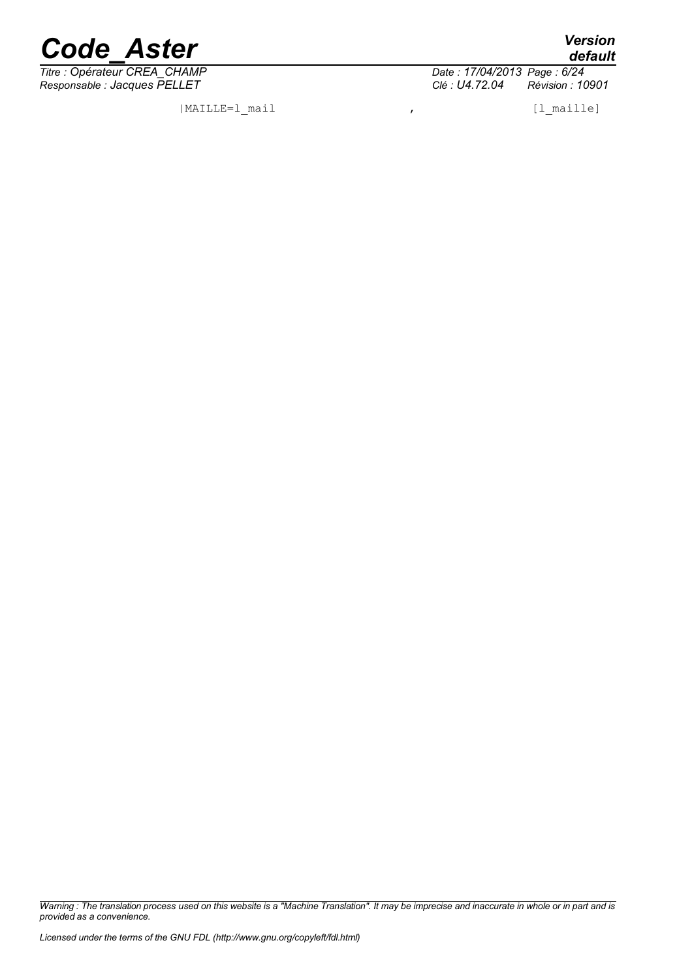

*Titre : Opérateur CREA\_CHAMP Date : 17/04/2013 Page : 6/24*

|MAILLE=l\_mail , [l\_maille]

*provided as a convenience.*

*Warning : The translation process used on this website is a "Machine Translation". It may be imprecise and inaccurate in whole or in part and is*

*Responsable : Jacques PELLET Clé : U4.72.04 Révision : 10901*

*default*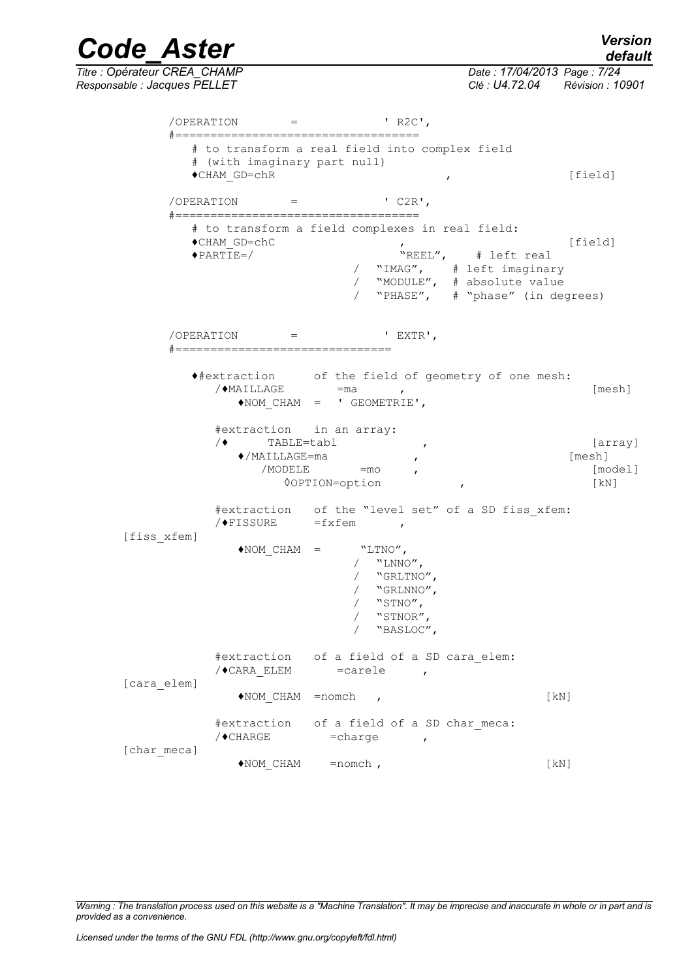*Code\_Aster Version Titre : Opérateur CREA\_CHAMP Date : 17/04/2013 Page : 7/24 Responsable : Jacques PELLET Clé : U4.72.04 Révision : 10901*  $/OPERATION =$  ' R2C', #=================================== # to transform a real field into complex field # (with imaginary part null) ◆CHAM\_GD=chR , [field]  $/OPERATION$  = '  $C2R'$ , #=================================== # to transform a field complexes in real field: ◆CHAM\_GD=chC , the part of the set of the set of the set of the set of the set of the set of the set of the set of the set of the set of the set of the set of the set of the set of the set of the set of the set of the set  $\sqrt{P_{\text{REL}}/P_{\text{rel}}}$  # left real / "IMAG", # left imaginary / "MODULE", # absolute value

> $/OPERATION$  = ' EXTR', #===============================

♦#extraction of the field of geometry of one mesh:  $\sqrt{\bullet}$ MAILLAGE = ma ,  $[\text{mesh}]$ ♦NOM\_CHAM = ' GEOMETRIE',

/ "PHASE", # "phase" (in degrees)

#extraction in an array: /♦ TABLE=tabl , [array] ♦/MAILLAGE=ma , [mesh] /MODELE = mo , fmodel] ◊OPTION=option , [kN]

#extraction of the "level set" of a SD fiss\_xfem:  $/$   $\blacktriangleright$  FISSURE =fxfem ,

[fiss\_xfem]

|             | $\triangle$ NOM CHAM =       | "LTNO",<br>"LNNO",<br>"GRLTNO",<br>"GRLNNO",<br>"STNO",<br>"STNOR",<br>"BASLOC", |                    |
|-------------|------------------------------|----------------------------------------------------------------------------------|--------------------|
| [cara elem] | /♦CARA ELEM                  | #extraction of a field of a SD cara elem:<br>$= \text{carele}$<br>$\mathbf{r}$   |                    |
|             | $\triangle$ NOM CHAM = nomch |                                                                                  | $\lceil kN \rceil$ |
| [char meca] | /◆CHARGE                     | #extraction of a field of a SD char meca:<br>$=$ charge<br>$\mathbf{r}$          |                    |
|             | $\blacklozenge$ NOM CHAM     | $=$ nomch,                                                                       | [kN]               |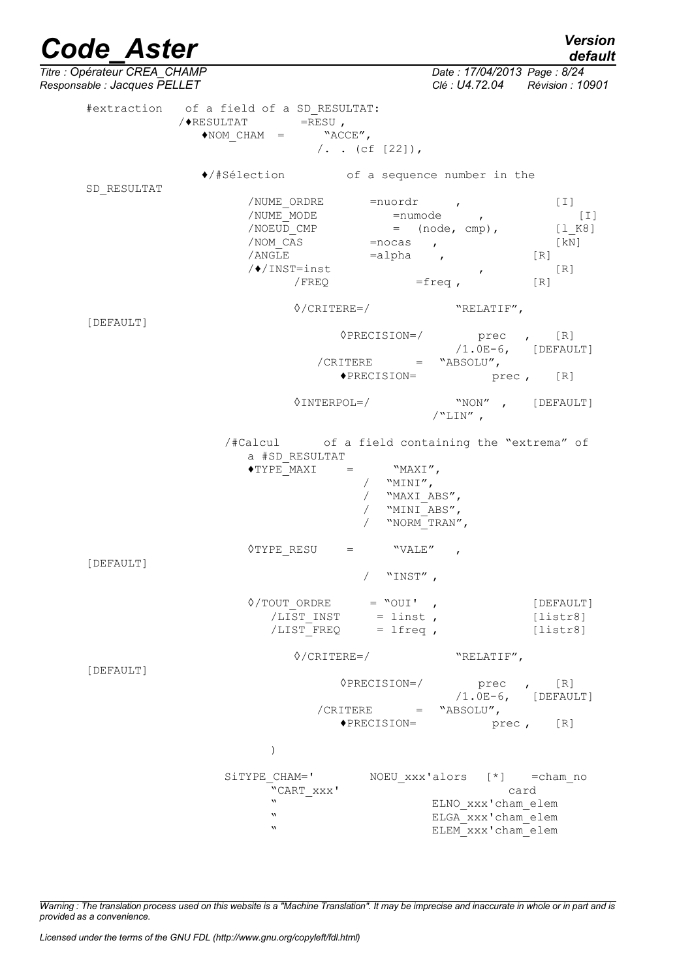| <b>Code Aster</b>                                            |             |                                                                                       |                                                                                   |                                                                | <b>Version</b><br>default             |
|--------------------------------------------------------------|-------------|---------------------------------------------------------------------------------------|-----------------------------------------------------------------------------------|----------------------------------------------------------------|---------------------------------------|
| Titre : Opérateur CREA_CHAMP<br>Responsable : Jacques PELLET |             |                                                                                       |                                                                                   | Date: 17/04/2013 Page: 8/24<br>Clé : U4.72.04 Révision : 10901 |                                       |
|                                                              |             | #extraction of a field of a SD RESULTAT:<br>$/$ $\blacklozenge$ RESULTAT<br>$=$ RESU, |                                                                                   |                                                                |                                       |
|                                                              |             | $\blacklozenge {\tt NOM} \hspace{2mm} \in \hspace{-4mm} {\tt HAM} \hspace{2mm} =$     | "ACCE",                                                                           |                                                                |                                       |
|                                                              |             |                                                                                       | $/$ . . (cf [22]),                                                                |                                                                |                                       |
|                                                              | SD RESULTAT | ♦/#Sélection of a sequence number in the                                              |                                                                                   |                                                                |                                       |
|                                                              |             |                                                                                       | /NUME ORDRE = nuordr ,                                                            |                                                                | $[1]$                                 |
|                                                              |             |                                                                                       |                                                                                   |                                                                | $[1]$                                 |
|                                                              |             | /NOEUD CMP                                                                            | $=$ (node, cmp),                                                                  |                                                                | [1 K8]                                |
|                                                              |             | /NOM CAS                                                                              | $=$ nocas,                                                                        |                                                                | $\lceil kN \rceil$                    |
|                                                              |             | /ANGLE                                                                                | $=$ alpha $\qquad$ ,                                                              |                                                                | [R]                                   |
|                                                              |             | /◆/INST=inst                                                                          |                                                                                   |                                                                | [R]                                   |
|                                                              |             | / FREQ                                                                                |                                                                                   | $\mathbf{r}$<br>$=$ freq,                                      | $\lceil R \rceil$                     |
|                                                              |             |                                                                                       | $\Diamond$ /CRITERE=/                                                             | "RELATIF",                                                     |                                       |
| [DEFAULT]                                                    |             |                                                                                       |                                                                                   |                                                                |                                       |
|                                                              |             |                                                                                       | $\Diamond$ PRECISION=/                                                            | prec , [R]<br>$/1.0E-6$ , [DEFAULT]                            |                                       |
|                                                              |             |                                                                                       | $/CHITERE$ =                                                                      | "ABSOLU",                                                      |                                       |
|                                                              |             |                                                                                       | $\blacklozenge$ PRECISION=                                                        | prec, [R]                                                      |                                       |
|                                                              |             | $\Diamond$ INTERPOL=/                                                                 |                                                                                   | "NON", [DEFAULT]<br>$/$ "LIN",                                 |                                       |
|                                                              |             | /#Calcul of a field containing the "extrema" of<br>a #SD RESULTAT<br>◆TYPE MAXI       | $=$ "MAXI",<br>/ $"MINI",$<br>/ "MAXI ABS",<br>/ "MINI ABS",<br>"NORM TRAN",      |                                                                |                                       |
|                                                              |             | ◊TYPE RESU                                                                            | "VALE"<br>$=$                                                                     | $\mathcal{L}$                                                  |                                       |
| [DEFAULT]                                                    |             |                                                                                       | "INST",                                                                           |                                                                |                                       |
|                                                              |             |                                                                                       | $\Diamond$ /TOUT_ORDRE = "OUI',<br>$/LIST$ INST = linst,<br>$/LIST$ FREQ = lfreq, |                                                                | [DEFAULT]<br>[liststr8]<br>[liststr8] |
|                                                              |             | $\Diamond$ /CRITERE=/                                                                 |                                                                                   | "RELATIF",                                                     |                                       |
|                                                              | [DEFAULT]   |                                                                                       | $\Diamond$ PRECISION=/<br>$/CHITERE$ = "ABSOLU",                                  | prec , [R]<br>$/1.0E-6$ , [DEFAULT]                            |                                       |
|                                                              |             |                                                                                       | $\blacklozenge$ PRECISION=                                                        |                                                                | prec, [R]                             |
|                                                              |             | $\mathcal{E}$                                                                         |                                                                                   |                                                                |                                       |
|                                                              |             |                                                                                       |                                                                                   |                                                                |                                       |
|                                                              |             | SiTYPE CHAM='                                                                         |                                                                                   | NOEU xxx'alors [*] = cham no                                   |                                       |
|                                                              |             | "CART XXX'                                                                            |                                                                                   | card                                                           |                                       |
|                                                              |             | w                                                                                     |                                                                                   | ELNO xxx'cham elem                                             |                                       |
|                                                              |             | $\boldsymbol{\mathsf{v}}$                                                             |                                                                                   | ELGA xxx'cham elem                                             |                                       |
|                                                              |             | $\boldsymbol{\mathsf{v}}$                                                             |                                                                                   | ELEM xxx'cham elem                                             |                                       |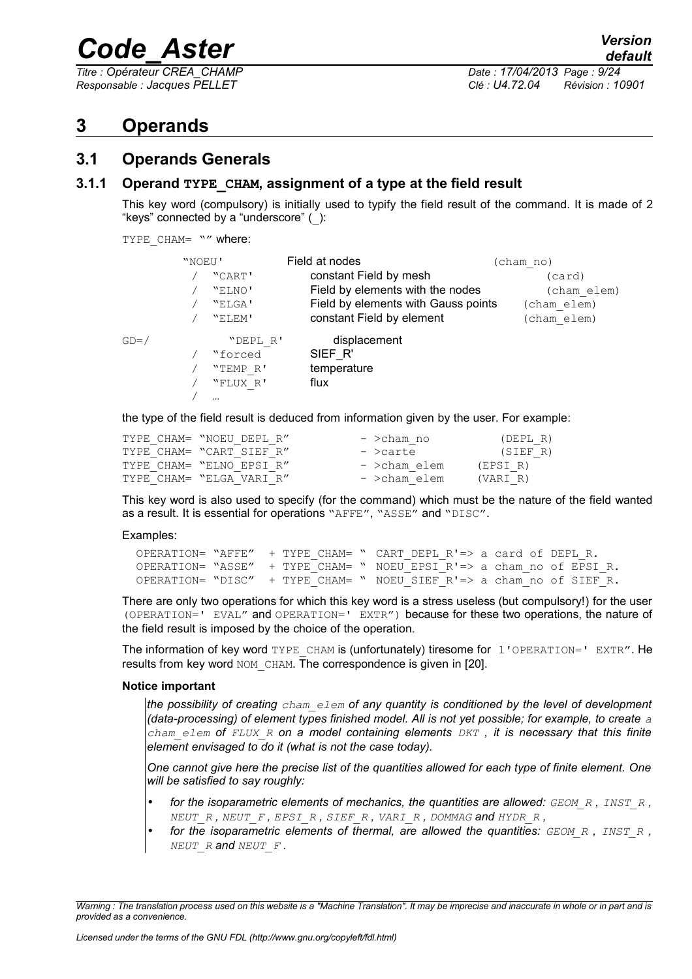*Titre : Opérateur CREA\_CHAMP Date : 17/04/2013 Page : 9/24*

*Responsable : Jacques PELLET Clé : U4.72.04 Révision : 10901*

#### <span id="page-8-2"></span>**3 Operands**

#### <span id="page-8-1"></span>**3.1 Operands Generals**

#### **3.1.1 Operand TYPE\_CHAM, assignment of a type at the field result**

<span id="page-8-0"></span>This key word (compulsory) is initially used to typify the field result of the command. It is made of 2 "keys" connected by a "underscore" (\_):

TYPE CHAM= "" where:

|         | "NOEU' |          | Field at nodes                      | (cham no)   |
|---------|--------|----------|-------------------------------------|-------------|
|         |        | "CART'   | constant Field by mesh              | (card)      |
|         |        | "ELNO'   | Field by elements with the nodes    | (cham elem) |
|         |        | "ELGA'   | Field by elements with Gauss points | (cham elem) |
|         |        | "ELEM'   | constant Field by element           | (cham elem) |
| $GD=$ / |        | "DEPL R' | displacement                        |             |
|         |        | "forced  | SIEF R'                             |             |
|         |        | "TEMP R' | temperature                         |             |
|         |        | "FLUX R' | flux                                |             |
|         |        |          |                                     |             |
|         |        |          |                                     |             |

the type of the field result is deduced from information given by the user. For example:

| TYPE CHAM= "NOEU DEPL R" | - >cham no   | (DEPL R) |
|--------------------------|--------------|----------|
| TYPE CHAM= "CART SIEF R" | - >carte     | (SIEF R) |
| TYPE CHAM= "ELNO EPSI R" | - >cham elem | (EPSI R) |
| TYPE CHAM= "ELGA VARI R" | - >cham elem | (VARI R) |

This key word is also used to specify (for the command) which must be the nature of the field wanted as a result. It is essential for operations "AFFE", "ASSE" and "DISC".

#### Examples:

```
OPERATION= "AFFE" + TYPE CHAM= " CART DEPL R!=> a card of DEPL R.
OPERATION= "ASSE" + TYPE CHAM= " NOEU EPSI R'=> a cham no of EPSI R.
OPERATION= "DISC" + TYPE CHAM= " NOEU SIEF R'=> a cham no of SIEF R.
```
There are only two operations for which this key word is a stress useless (but compulsory!) for the user (OPERATION=' EVAL" and OPERATION=' EXTR") because for these two operations, the nature of the field result is imposed by the choice of the operation.

The information of key word TYPE\_CHAM is (unfortunately) tiresome for l'OPERATION=' EXTR". He results from key word NOM CHAM. The correspondence is given in [\[20\]](#page-19-0).

#### **Notice important**

*the possibility of creating cham\_elem of any quantity is conditioned by the level of development (data-processing) of element types finished model. All is not yet possible; for example, to create a cham\_elem of FLUX\_R on a model containing elements DKT , it is necessary that this finite element envisaged to do it (what is not the case today).* 

*One cannot give here the precise list of the quantities allowed for each type of finite element. One will be satisfied to say roughly:*

- *for the isoparametric elements of mechanics, the quantities are allowed: GEOM\_R , INST\_R , NEUT\_R , NEUT\_F , EPSI\_R , SIEF\_R , VARI\_R , DOMMAG and HYDR\_R ,*
- *for the isoparametric elements of thermal, are allowed the quantities: GEOM\_R , INST\_R , NEUT\_R and NEUT\_F .*

*Warning : The translation process used on this website is a "Machine Translation". It may be imprecise and inaccurate in whole or in part and is provided as a convenience.*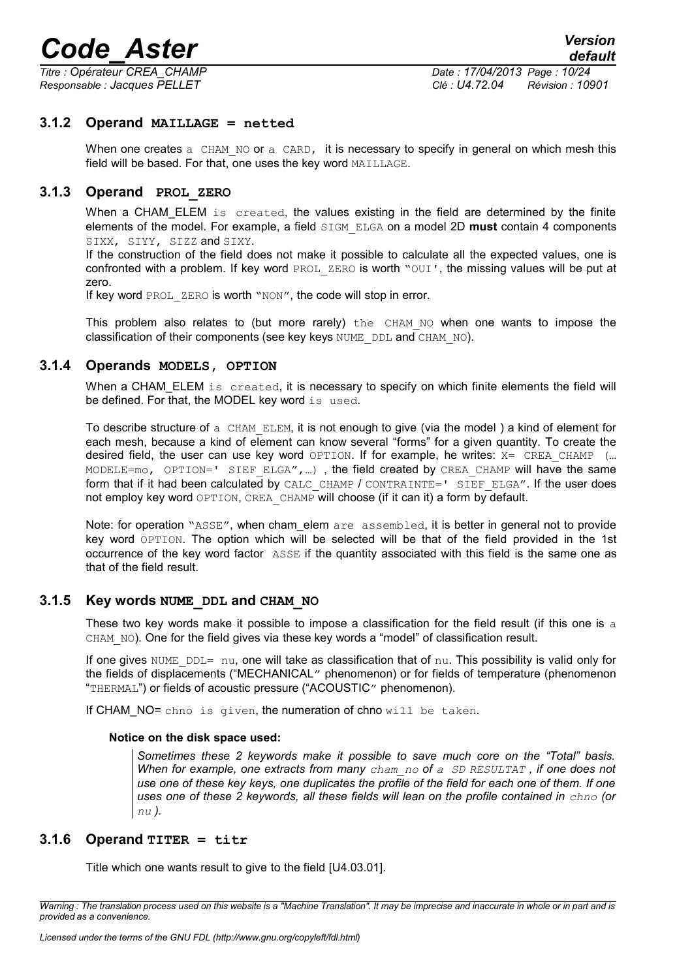*Titre : Opérateur CREA\_CHAMP Date : 17/04/2013 Page : 10/24*

*Responsable : Jacques PELLET Clé : U4.72.04 Révision : 10901*

#### **3.1.2 Operand MAILLAGE = netted**

<span id="page-9-4"></span>When one creates a CHAM NO or a CARD, it is necessary to specify in general on which mesh this field will be based. For that, one uses the key word MAILLAGE.

#### **3.1.3 Operand PROL\_ZERO**

<span id="page-9-3"></span>When a CHAM ELEM is created, the values existing in the field are determined by the finite elements of the model. For example, a field SIGM\_ELGA on a model 2D **must** contain 4 components SIXX, SIYY, SIZZ and SIXY.

If the construction of the field does not make it possible to calculate all the expected values, one is confronted with a problem. If key word PROL ZERO is worth "OUI', the missing values will be put at zero.

If key word PROL ZERO is worth "NON", the code will stop in error.

This problem also relates to (but more rarely) the CHAM NO when one wants to impose the classification of their components (see key keys NUME\_DDL and CHAM\_NO).

#### **3.1.4 Operands MODELS, OPTION**

<span id="page-9-2"></span>When a CHAM\_ELEM is created, it is necessary to specify on which finite elements the field will be defined. For that, the MODEL key word is used.

To describe structure of a CHAM ELEM, it is not enough to give (via the model) a kind of element for each mesh, because a kind of element can know several "forms" for a given quantity. To create the desired field, the user can use key word OPTION. If for example, he writes:  $X = CREA$  CHAMP (... MODELE=mo, OPTION=' SIEF ELGA",...), the field created by CREA CHAMP will have the same form that if it had been calculated by CALC\_CHAMP / CONTRAINTE=' SIEF\_ELGA". If the user does not employ key word OPTION, CREA CHAMP will choose (if it can it) a form by default.

Note: for operation "ASSE", when cham elem are assembled, it is better in general not to provide key word OPTION. The option which will be selected will be that of the field provided in the 1st occurrence of the key word factor ASSE if the quantity associated with this field is the same one as that of the field result.

#### **3.1.5 Key words NUME\_DDL and CHAM\_NO**

<span id="page-9-1"></span>These two key words make it possible to impose a classification for the field result (if this one is  $a$ CHAM NO). One for the field gives via these key words a "model" of classification result.

If one gives NUME  $DDL = nu$ , one will take as classification that of nu. This possibility is valid only for the fields of displacements ("MECHANICAL" phenomenon) or for fields of temperature (phenomenon "THERMAL") or fields of acoustic pressure ("ACOUSTIC" phenomenon).

If CHAM NO= chno is given, the numeration of chno will be taken.

#### **Notice on the disk space used:**

*Sometimes these 2 keywords make it possible to save much core on the "Total" basis. When for example, one extracts from many cham\_no of a SD RESULTAT , if one does not use one of these key keys, one duplicates the profile of the field for each one of them. If one* uses one of these 2 keywords, all these fields will lean on the profile contained in  $\text{chno}$  (or *nu ).*

#### **3.1.6 Operand TITER = titr**

<span id="page-9-0"></span>Title which one wants result to give to the field [U4.03.01].

*Warning : The translation process used on this website is a "Machine Translation". It may be imprecise and inaccurate in whole or in part and is provided as a convenience.*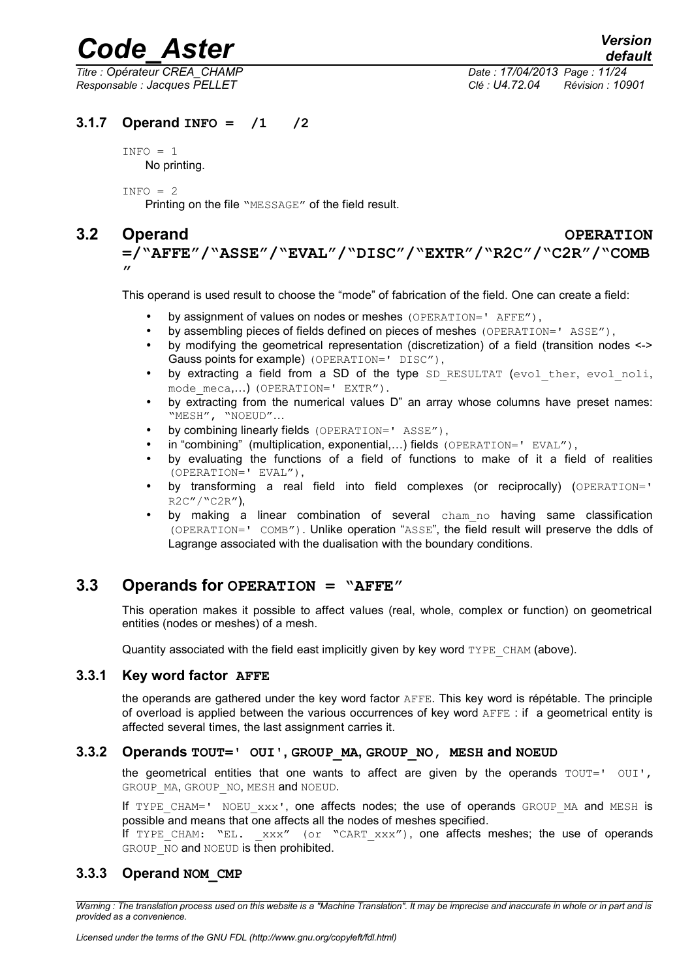*Titre : Opérateur CREA\_CHAMP Date : 17/04/2013 Page : 11/24*

*Responsable : Jacques PELLET Clé : U4.72.04 Révision : 10901*

#### **3.1.7 Operand INFO = /1 /2**

<span id="page-10-5"></span> $INFO = 1$ No printing.

 $INFO = 2$ 

Printing on the file "MESSAGE" of the field result.

### **3.2 Operand OPERATION**

<span id="page-10-4"></span>**=/"AFFE"/"ASSE"/"EVAL"/"DISC"/"EXTR"/"R2C"/"C2R"/"COMB**  $\mathbf{r}$ 

This operand is used result to choose the "mode" of fabrication of the field. One can create a field:

- by assignment of values on nodes or meshes (OPERATION=' AFFE"),
- by assembling pieces of fields defined on pieces of meshes (OPERATION=' ASSE"),
- by modifying the geometrical representation (discretization) of a field (transition nodes <-> Gauss points for example) (OPERATION=' DISC"),
- by extracting a field from a SD of the type SD RESULTAT (evol ther, evol noli, mode meca,...) (OPERATION=' EXTR").
- by extracting from the numerical values D" an array whose columns have preset names: "MESH", "NOEUD"…
- by combining linearly fields (OPERATION=' ASSE"),
- in "combining" (multiplication, exponential,...) fields (OPERATION=' EVAL").
- by evaluating the functions of a field of functions to make of it a field of realities (OPERATION=' EVAL"),
- by transforming a real field into field complexes (or reciprocally) (OPERATION=' R2C"/"C2R"),
- by making a linear combination of several cham no having same classification (OPERATION=' COMB"). Unlike operation "ASSE", the field result will preserve the ddls of Lagrange associated with the dualisation with the boundary conditions.

#### **3.3 Operands for OPERATION = "AFFE"**

<span id="page-10-3"></span>This operation makes it possible to affect values (real, whole, complex or function) on geometrical entities (nodes or meshes) of a mesh.

<span id="page-10-2"></span>Quantity associated with the field east implicitly given by key word  $TYPE$  CHAM (above).

#### **3.3.1 Key word factor AFFE**

the operands are gathered under the key word factor AFFE. This key word is répétable. The principle of overload is applied between the various occurrences of key word AFFE : if a geometrical entity is affected several times, the last assignment carries it.

#### **3.3.2 Operands TOUT=' OUI', GROUP\_MA, GROUP\_NO, MESH and NOEUD**

<span id="page-10-1"></span>the geometrical entities that one wants to affect are given by the operands  $TOUT=' OUI'$ , GROUP MA, GROUP NO, MESH and NOEUD.

If TYPE CHAM=' NOEU  $xxx'$ , one affects nodes; the use of operands GROUP MA and MESH is possible and means that one affects all the nodes of meshes specified.

<span id="page-10-0"></span>If TYPE CHAM: "EL.  $xxx''$  (or "CART  $xxx''$ ), one affects meshes; the use of operands GROUP NO and NOEUD is then prohibited.

#### **3.3.3 Operand NOM\_CMP**

*Warning : The translation process used on this website is a "Machine Translation". It may be imprecise and inaccurate in whole or in part and is provided as a convenience.*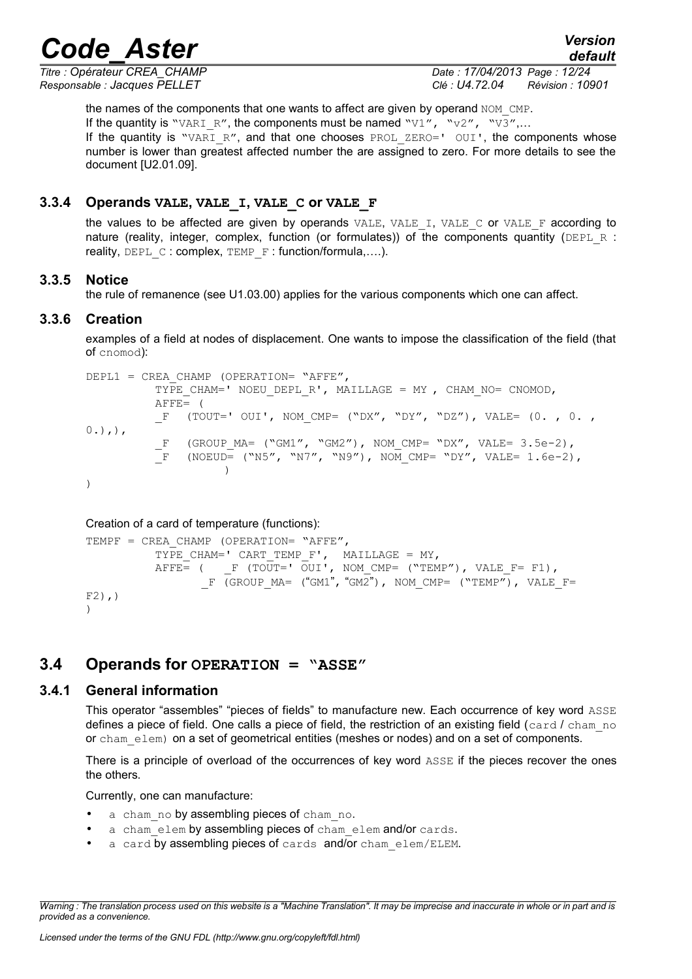*Titre : Opérateur CREA\_CHAMP Date : 17/04/2013 Page : 12/24*

*Responsable : Jacques PELLET Clé : U4.72.04 Révision : 10901*

*default*

the names of the components that one wants to affect are given by operand NOM CMP. If the quantity is "VARI\_R", the components must be named "V1", "v2", "V3",... If the quantity is "VARI\_R", and that one chooses PROL ZERO=' OUI', the components whose number is lower than greatest affected number the are assigned to zero. For more details to see the document [U2.01.09].

#### **3.3.4 Operands VALE, VALE\_I, VALE\_C or VALE\_F**

<span id="page-11-4"></span>the values to be affected are given by operands  $VALE$ ,  $VALE$  I,  $VALE$  C or  $VALE$  F according to nature (reality, integer, complex, function (or formulates)) of the components quantity (DEPL R : reality, DEPL C : complex, TEMP F : function/formula,....).

#### **3.3.5 Notice**

<span id="page-11-3"></span>the rule of remanence (see U1.03.00) applies for the various components which one can affect.

#### **3.3.6 Creation**

<span id="page-11-2"></span>examples of a field at nodes of displacement. One wants to impose the classification of the field (that of cnomod):

```
DEPL1 = CREA CHAMP (OPERATION= "AFFE",
          TYPE CHAM=' NOEU DEPL R', MAILLAGE = MY , CHAM NO= CNOMOD,
          AFFE= (
          F (TOUT=' OUI', NOM CMP= ("DX", "DY", "DZ"), VALE= (0. , 0. ,
0.),),
          F (GROUP MA= ("GM1", "GM2"), NOM CMP= "DX", VALE= 3.5e-2),
          \bar{F} (NOEUD= ("N5", "N7", "N9"), NOM CMP= "DY", VALE= 1.6e-2),
                    )
)
```
#### Creation of a card of temperature (functions):

```
TEMPF = CREA CHAMP (OPERATION= "AFFE",
          TYPE CHAM=' CART_TEMP_F', MAILLAGE = MY,
          \overline{A}FFE= ( F (TOUT=' OUI', NOM_CMP= ("TEMP"), VALE_F= F1),
                 F (GROUP MA= ("GM1", "GM2"), NOM CMP= ("TEMP"), VALE F=
F2), ))
```
#### <span id="page-11-1"></span>**3.4 Operands for OPERATION = "ASSE"**

#### **3.4.1 General information**

<span id="page-11-0"></span>This operator "assembles" "pieces of fields" to manufacture new. Each occurrence of key word ASSE defines a piece of field. One calls a piece of field, the restriction of an existing field (card  $\ell$  cham no or cham elem) on a set of geometrical entities (meshes or nodes) and on a set of components.

There is a principle of overload of the occurrences of key word ASSE if the pieces recover the ones the others.

Currently, one can manufacture:

- a cham no by assembling pieces of cham no.
- a cham elem by assembling pieces of cham elem and/or cards.
- a card by assembling pieces of cards and/or cham elem/ELEM.

*Warning : The translation process used on this website is a "Machine Translation". It may be imprecise and inaccurate in whole or in part and is provided as a convenience.*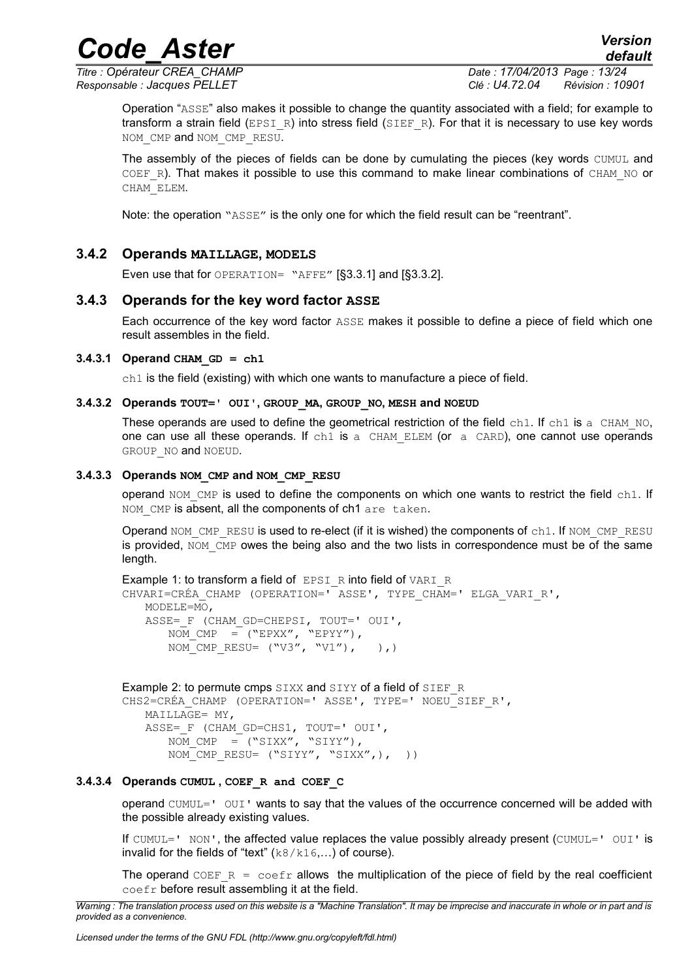### *Code\_Aster Version*

*Titre : Opérateur CREA\_CHAMP Date : 17/04/2013 Page : 13/24*

*Responsable : Jacques PELLET Clé : U4.72.04 Révision : 10901*

Operation "ASSE" also makes it possible to change the quantity associated with a field; for example to transform a strain field (EPSI\_R) into stress field (SIEF\_R). For that it is necessary to use key words NOM\_CMP and NOM\_CMP\_RESU.

The assembly of the pieces of fields can be done by cumulating the pieces (key words CUMUL and COEF R). That makes it possible to use this command to make linear combinations of CHAM NO or CHAM\_ELEM.

Note: the operation "ASSE" is the only one for which the field result can be "reentrant".

#### **3.4.2 Operands MAILLAGE, MODELS**

<span id="page-12-1"></span>Even use that for OPERATION= "AFFE" [§3.3.1] and [§3.3.2].

#### **3.4.3 Operands for the key word factor ASSE**

<span id="page-12-0"></span>Each occurrence of the key word factor ASSE makes it possible to define a piece of field which one result assembles in the field.

#### $3.4.3.1$  Operand CHAM GD = ch1

 $ch1$  is the field (existing) with which one wants to manufacture a piece of field.

#### **3.4.3.2 Operands TOUT=' OUI', GROUP\_MA, GROUP\_NO, MESH and NOEUD**

These operands are used to define the geometrical restriction of the field  $\text{ch}1$ . If  $\text{ch}1$  is a CHAM NO, one can use all these operands. If ch1 is a CHAM ELEM (or a CARD), one cannot use operands GROUP NO and NOEUD.

#### **3.4.3.3 Operands NOM\_CMP and NOM\_CMP\_RESU**

operand NOM CMP is used to define the components on which one wants to restrict the field ch1. If NOM CMP is absent, all the components of ch1 are taken.

Operand NOM, CMP, RESU is used to re-elect (if it is wished) the components of ch1. If NOM, CMP, RESU is provided,  $NOM$  CMP owes the being also and the two lists in correspondence must be of the same length.

```
Example 1: to transform a field of EPSI R into field of VARI R
CHVARI=CRÉA_CHAMP (OPERATION=' ASSE', TYPE_CHAM=' ELGA_VARI_R', 
   MODELE=MO, 
   ASSE= F (CHAM GD=CHEPSI, TOUT=' OUI',
      NOM CMP = ("EPXX", "EPYY"),NOM CMP RESU= ("V3", "V1"), )
```

```
Example 2: to permute cmps SIXX and SIYY of a field of SIEF_R
CHS2=CRÉA CHAMP (OPERATION=' ASSE', TYPE=' NOEU SIEF R',
   MAILLAGE= MY, 
   ASSE=_F (CHAM_GD=CHS1, TOUT=' OUI', 
       NOM CMP = (``SIXX'', "SIYY''),
       NOM CMP RESU= ("SIYY", "SIXX", ), ))
```
#### **3.4.3.4 Operands CUMUL , COEF\_R and COEF\_C**

operand CUMUL=' OUI' wants to say that the values of the occurrence concerned will be added with the possible already existing values.

If CUMUL=' NON', the affected value replaces the value possibly already present (CUMUL='  $\text{OUT}$ ' is invalid for the fields of "text"  $(k8/k16,...)$  of course).

The operand COEF  $R = \text{coeff}$  allows the multiplication of the piece of field by the real coefficient coefr before result assembling it at the field.

*Warning : The translation process used on this website is a "Machine Translation". It may be imprecise and inaccurate in whole or in part and is provided as a convenience.*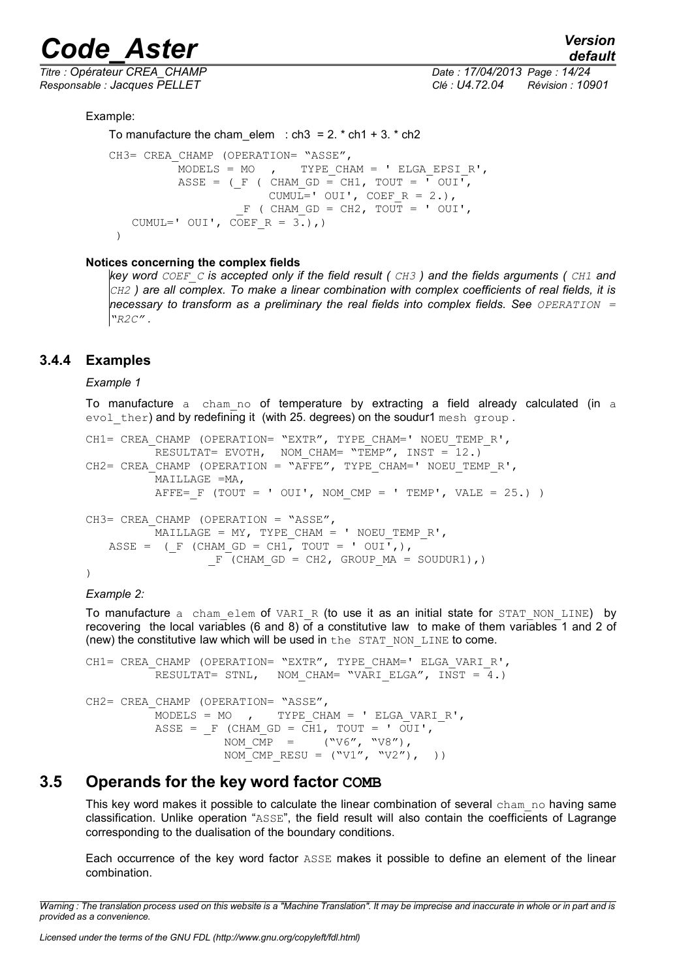*Titre : Opérateur CREA\_CHAMP Date : 17/04/2013 Page : 14/24 Responsable : Jacques PELLET Clé : U4.72.04 Révision : 10901*

Example:

```
To manufacture the cham elem : ch3 = 2. * ch1 + 3. * ch2
CH3= CREA CHAMP (OPERATION= "ASSE",
           MODELS = MO, TYPE CHAM = ' ELGA EPSIR',
           ASSE = (F ( CHAM GD = CH1, TOUT = \overline{V} OUI\overline{V},
                         CUMUL=' OUI', COEF R = 2.),
                     F ( CHAM GD = CH2, TOUT = ' OUI',
   CUMUL=' OUI', COEF R = 3.),)
  )
```
#### **Notices concerning the complex fields**

*key word COEF\_C is accepted only if the field result ( CH3 ) and the fields arguments ( CH1 and CH2 ) are all complex. To make a linear combination with complex coefficients of real fields, it is necessary to transform as a preliminary the real fields into complex fields. See <i>OPERATION* = *"R2C" .*

#### **3.4.4 Examples**

#### <span id="page-13-1"></span>*Example 1*

To manufacture a cham no of temperature by extracting a field already calculated (in a evol ther) and by redefining it (with 25. degrees) on the soudur1 mesh group.

```
CH1= CREA CHAMP (OPERATION= "EXTR", TYPE CHAM=' NOEU TEMP R',
          RESULTAT= EVOTH, NOM CHAM= "TEMP", INST = 12.)
CH2= CREA CHAMP (OPERATION = "AFFE", TYPE CHAM=' NOEU TEMP R',
         MAILLAGE =MA, 
         AFFE= F (TOUT = ' OUI', NOM CMP = ' TEMP', VALE = 25.) )
CH3= CREA CHAMP (OPERATION = "ASSE",
         MMAILLAGE = MY, TYPE CHAM = ' NOEU TEMP R',
   ASSE = (F (CHAM GD = CH1, TOUT = ' OUI',),
                 F^-(CHAM GD = CH2, GROUP MA = SOUDURI),)
```
#### *Example 2:*

To manufacture a cham elem of VARI R (to use it as an initial state for STAT NON LINE) by recovering the local variables (6 and 8) of a constitutive law to make of them variables 1 and 2 of (new) the constitutive law which will be used in the STAT\_NON\_LINE to come.

```
CH1= CREA CHAMP (OPERATION= "EXTR", TYPE CHAM=' ELGA VARI R',
            RESULTAT= STNL, NOM CHAM= "VARI ELGA", INST = 4.)
CH2= CREA CHAMP (OPERATION= "ASSE",
            MODELS = MO, TYPE CHAM = ' ELGA VARI R',
            ASSE = F (CHAM GD = CH1, TOUT = ' OUI',
                        \begin{array}{lll} \texttt{NOM\_CMP} & = & \texttt{(\textbf{``V6''}, \textbf{ ``V8''})}\,, \end{array}NOM CMP RESU = ("V1", "V2"), )
```
#### **3.5 Operands for the key word factor COMB**

<span id="page-13-0"></span>This key word makes it possible to calculate the linear combination of several cham no having same classification. Unlike operation "ASSE", the field result will also contain the coefficients of Lagrange corresponding to the dualisation of the boundary conditions.

Each occurrence of the key word factor ASSE makes it possible to define an element of the linear combination.

*Warning : The translation process used on this website is a "Machine Translation". It may be imprecise and inaccurate in whole or in part and is provided as a convenience.*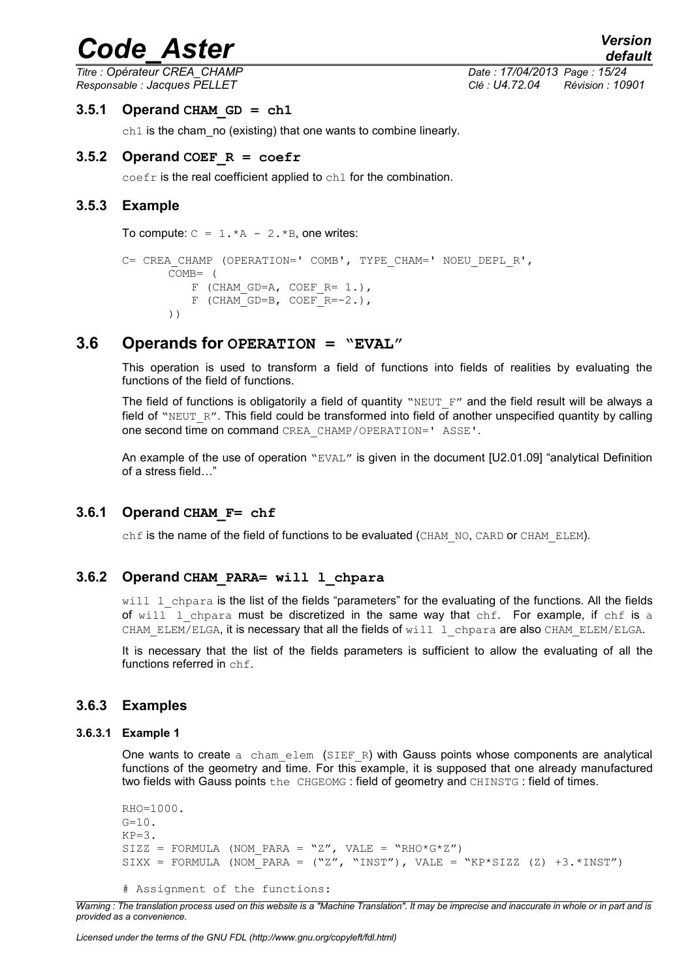#### *default Titre : Opérateur CREA\_CHAMP Date : 17/04/2013 Page : 15/24 Responsable : Jacques PELLET Clé : U4.72.04 Révision : 10901*

#### $3.5.1$  Operand CHAM GD = ch1

<span id="page-14-6"></span>ch1 is the cham\_no (existing) that one wants to combine linearly.

#### **3.5.2 Operand COEF\_R = coefr**

<span id="page-14-5"></span><span id="page-14-4"></span>coefr is the real coefficient applied to ch1 for the combination.

#### **3.5.3 Example**

To compute:  $C = 1.*A - 2.*B$ , one writes:

```
C= CREA CHAMP (OPERATION=' COMB', TYPE CHAM=' NOEU DEPL R',
      COMB= (
          F (CHAM GD=A, COEF R= 1.),
          F (CHAM GD=B, COEF R=-2.),
      ))
```
#### **3.6 Operands for OPERATION = "EVAL"**

<span id="page-14-3"></span>This operation is used to transform a field of functions into fields of realities by evaluating the functions of the field of functions.

The field of functions is obligatorily a field of quantity "NEUT  $F''$  and the field result will be always a field of "NEUT\_R". This field could be transformed into field of another unspecified quantity by calling one second time on command CREA\_CHAMP/OPERATION=' ASSE'.

An example of the use of operation "EVAL" is given in the document [U2.01.09] "analytical Definition of a stress field…"

#### **3.6.1 Operand CHAM\_F= chf**

<span id="page-14-2"></span>chf is the name of the field of functions to be evaluated (CHAM\_NO, CARD or CHAM\_ELEM).

#### **3.6.2 Operand CHAM\_PARA= will l\_chpara**

<span id="page-14-1"></span>will 1\_chpara is the list of the fields "parameters" for the evaluating of the functions. All the fields of will  $l$  chpara must be discretized in the same way that chf. For example, if chf is a CHAM\_ELEM/ELGA, it is necessary that all the fields of will l\_chpara are also CHAM\_ELEM/ELGA.

It is necessary that the list of the fields parameters is sufficient to allow the evaluating of all the functions referred in chf.

#### <span id="page-14-0"></span>**3.6.3 Examples**

#### **3.6.3.1 Example 1**

One wants to create  $a$  cham elem (SIEF R) with Gauss points whose components are analytical functions of the geometry and time. For this example, it is supposed that one already manufactured two fields with Gauss points the CHGEOMG : field of geometry and CHINSTG : field of times.

```
RHO=1000.
G=10.
KP=3.
SIZZ = FORMULA (NOM PARA = "Z", VALE = "RHO*G*Z")SIXX = FORMULA (NOM_PARA = ("Z", "INST"), VALE = "KP*SIZZ (Z) +3.*INST")
```

```
# Assignment of the functions:
```
*Warning : The translation process used on this website is a "Machine Translation". It may be imprecise and inaccurate in whole or in part and is provided as a convenience.*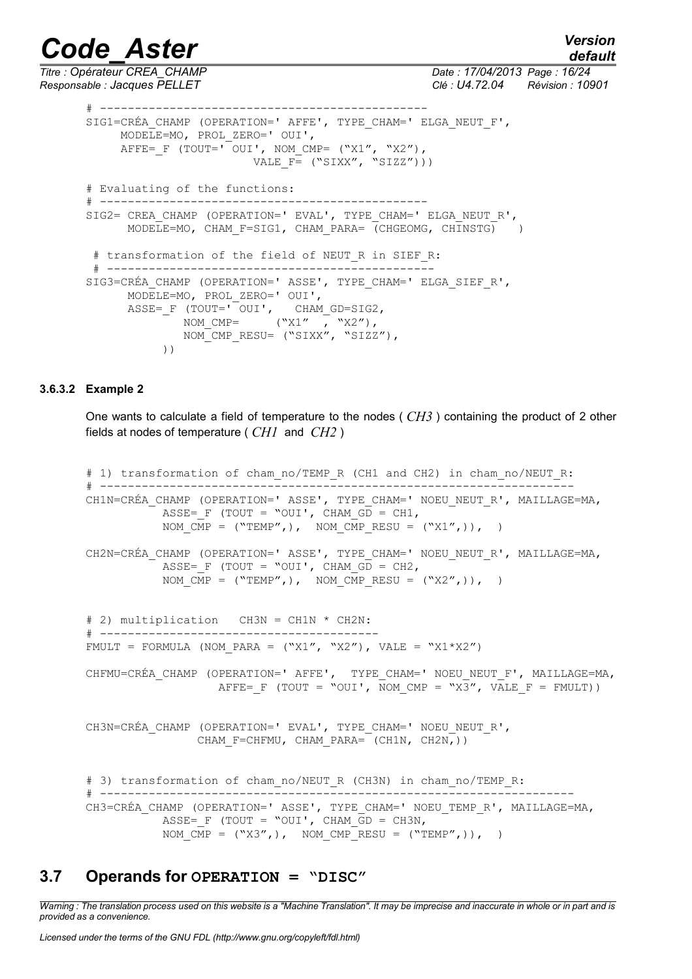*default*

*Titre : Opérateur CREA\_CHAMP Date : 17/04/2013 Page : 16/24 Responsable : Jacques PELLET Clé : U4.72.04 Révision : 10901*

# ----------------------------------------------- SIG1=CRÉA CHAMP (OPERATION=' AFFE', TYPE CHAM=' ELGA NEUT F', MODELE=MO, PROL\_ZERO=' OUI', AFFE= F (TOUT=' OUI', NOM CMP=  $("X1", "X2")$ , VALE  $F = ("SIXX", "SIZZ"))$ # Evaluating of the functions: # ----------------------------------------------- SIG2= CREA\_CHAMP (OPERATION=' EVAL', TYPE\_CHAM=' ELGA\_NEUT\_R',  $MODELE=MO$ , CHAM F=SIG1, CHAM PARA= (CHGEOMG, CHINSTG) ) # transformation of the field of NEUT R in SIEF R: # ----------------------------------------------- SIG3=CRÉA\_CHAMP (OPERATION=' ASSE', TYPE\_CHAM=' ELGA\_SIEF\_R', MODELE=MO, PROL\_ZERO=' OUI', ASSE=\_F (TOUT=' OUI', CHAM\_GD=SIG2, NOM CMP= ("X1" , "X2"), NOM CMP RESU= ("SIXX", "SIZZ"), ))

#### **3.6.3.2 Example 2**

One wants to calculate a field of temperature to the nodes ( *CH3* ) containing the product of 2 other fields at nodes of temperature ( *CH1* and *CH2* )

```
# 1) transformation of cham no/TEMP R (CH1 and CH2) in cham no/NEUT R:
# --------------------------------------------------------------------
CH1N=CRÉA CHAMP (OPERATION=' ASSE', TYPE CHAM=' NOEU NEUT R', MAILLAGE=MA,
           ASSE= F (TOUT = "OUI', CHAM_GD = CH1,
           NOM \overline{CMP} = ("TEMP",), NOM \overline{CMP} RESU = ("X1",)), )
CH2N=CRÉA CHAMP (OPERATION=' ASSE', TYPE CHAM=' NOEU NEUT R', MAILLAGE=MA,
           ASSE= F (TOUT = "OUI', CHAM_GD = CH2,
           NOM CMP = ("TEMP",), NOM CMP RESU = ("X2",)), )
# 2) multiplication CH3N = CH1N * CH2N:
# ----------------------------------------
FMULT = FORMULA (NOM PARA = ("X1", "X2"), VALE = "X1*X2")
CHFMU=CRÉA CHAMP (OPERATION=' AFFE', TYPE CHAM=' NOEU NEUT F', MAILLAGE=MA,
                   AFFE= F (TOUT = "OUI', NOM CMP = "X3", VALE F = FMULT))
CH3N=CRÉA CHAMP (OPERATION=' EVAL', TYPE CHAM=' NOEU NEUT R',
                CHAM F=CHFMU, CHAM PARA= (CH1N, CH2N,))
# 3) transformation of cham no/NEUT R (CH3N) in cham no/TEMP R:
# --------------------------------------------------------------------
CH3=CRÉA CHAMP (OPERATION=' ASSE', TYPE CHAM=' NOEU TEMP R', MAILLAGE=MA,
           ASSE= F (TOUT = "OUI', CHAM GD = CH3N,
           NOM \overline{CMP} = ("X3",), NOM \overline{CMP} RESU = ("TEMP",)), )
```
#### <span id="page-15-0"></span>**3.7 Operands for OPERATION = "DISC"**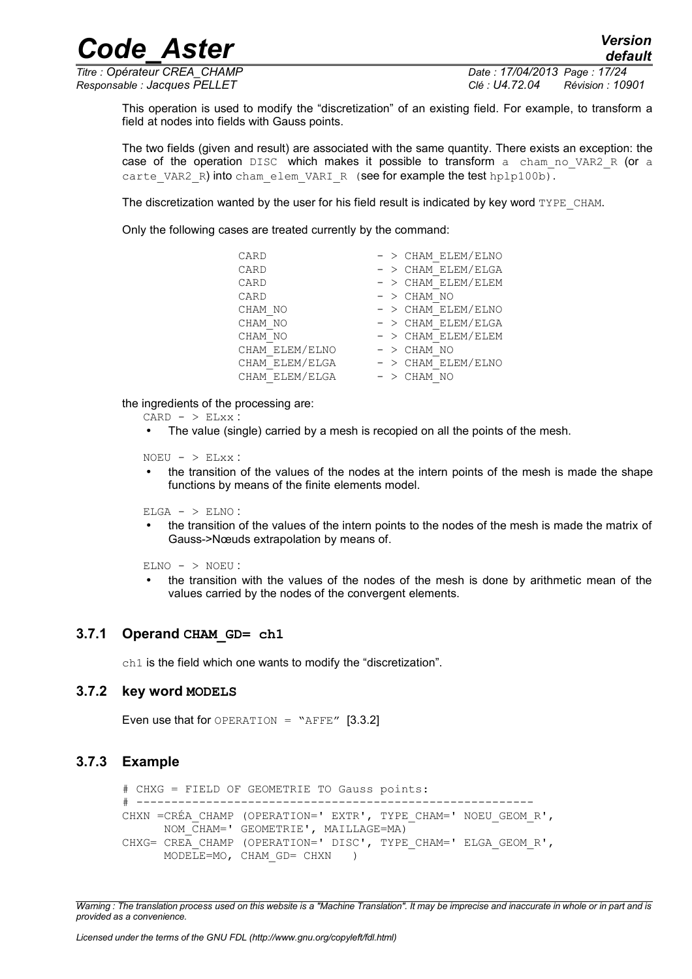*Code\_Aster Version*

*Titre : Opérateur CREA\_CHAMP Date : 17/04/2013 Page : 17/24 Responsable : Jacques PELLET Clé : U4.72.04 Révision : 10901*

This operation is used to modify the "discretization" of an existing field. For example, to transform a field at nodes into fields with Gauss points.

The two fields (given and result) are associated with the same quantity. There exists an exception: the case of the operation DISC which makes it possible to transform a cham no VAR2 R (or a carte VAR2 R) into cham elem VARI R (see for example the test hplp100b).

The discretization wanted by the user for his field result is indicated by key word TYPE\_CHAM.

Only the following cases are treated currently by the command:

| CARD           | $-$ > CHAM ELEM/ELNO |
|----------------|----------------------|
| CARD           | $-$ > CHAM ELEM/ELGA |
| CARD           | $-$ > CHAM ELEM/ELEM |
| CARD           | $-$ > CHAM NO        |
| CHAM NO        | $-$ > CHAM ELEM/ELNO |
| CHAM NO        | $-$ > CHAM ELEM/ELGA |
| CHAM NO        | $-$ > CHAM ELEM/ELEM |
| CHAM ELEM/ELNO | $-$ > CHAM NO        |
| CHAM ELEM/ELGA | $-$ > CHAM ELEM/ELNO |
| CHAM ELEM/ELGA | $-$ > CHAM NO        |

the ingredients of the processing are:

- $CARD > ELXX$ :
- The value (single) carried by a mesh is recopied on all the points of the mesh.

 $NOEU - > ELXX$ :

• the transition of the values of the nodes at the intern points of the mesh is made the shape functions by means of the finite elements model.

 $ELGA - > ELNO$ :

• the transition of the values of the intern points to the nodes of the mesh is made the matrix of Gauss->Nœuds extrapolation by means of.

 $ELNO - > NOEU$ :

• the transition with the values of the nodes of the mesh is done by arithmetic mean of the values carried by the nodes of the convergent elements.

#### **3.7.1 Operand CHAM\_GD= ch1**

<span id="page-16-2"></span><span id="page-16-1"></span>ch1 is the field which one wants to modify the "discretization".

#### **3.7.2 key word MODELS**

Even use that for OPERATION = "AFFE"  $[3.3.2]$ 

#### **3.7.3 Example**

```
# CHXG = FIELD OF GEOMETRIE TO Gauss points:
# ---------------------------------------------------------
CHXN =CRÉA_CHAMP (OPERATION=' EXTR', TYPE_CHAM=' NOEU_GEOM_R', 
       NOM_CHAM=' GEOMETRIE', MAILLAGE=MA)
CHXG= CREA CHAMP (OPERATION=' DISC', TYPE CHAM=' ELGA GEOM R',
      MODELE=MO, CHAM GD= CHXN )
```
*Warning : The translation process used on this website is a "Machine Translation". It may be imprecise and inaccurate in whole or in part and is provided as a convenience.*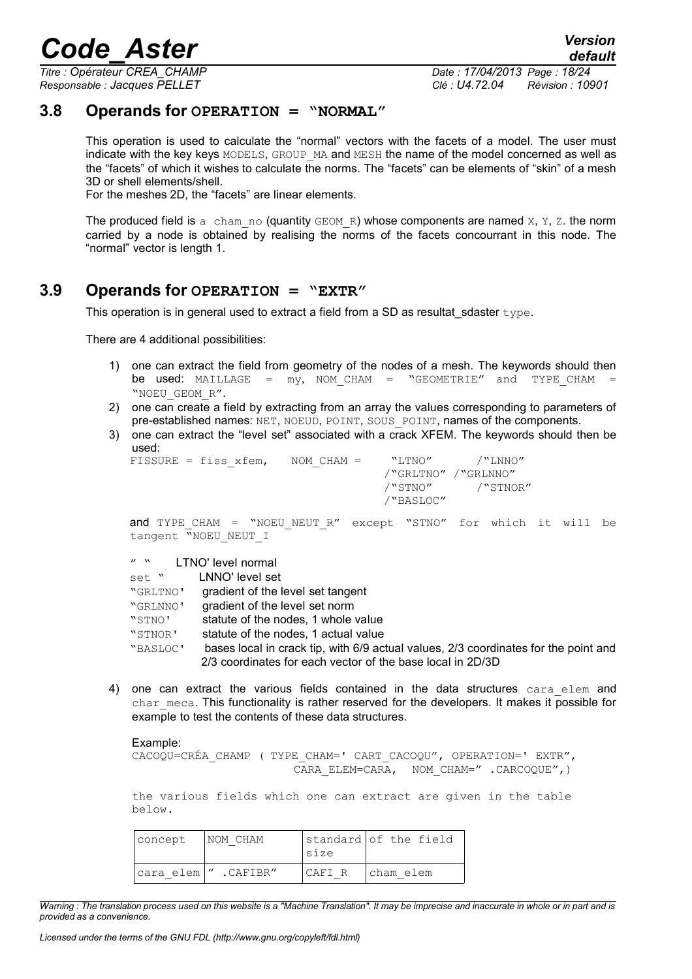*Titre : Opérateur CREA\_CHAMP Date : 17/04/2013 Page : 18/24*

*Responsable : Jacques PELLET Clé : U4.72.04 Révision : 10901*

#### **3.8 Operands for OPERATION = "NORMAL"**

<span id="page-17-1"></span>This operation is used to calculate the "normal" vectors with the facets of a model. The user must indicate with the key keys MODELS, GROUP MA and MESH the name of the model concerned as well as the "facets" of which it wishes to calculate the norms. The "facets" can be elements of "skin" of a mesh 3D or shell elements/shell.

For the meshes 2D, the "facets" are linear elements.

The produced field is a cham no (quantity GEOM R) whose components are named  $X$ ,  $Y$ ,  $Z$ . the norm carried by a node is obtained by realising the norms of the facets concourrant in this node. The "normal" vector is length 1.

#### **3.9 Operands for OPERATION = "EXTR"**

<span id="page-17-0"></span>This operation is in general used to extract a field from a SD as resultat sdaster  $t$ ype.

There are 4 additional possibilities:

- 1) one can extract the field from geometry of the nodes of a mesh. The keywords should then be used: MAILLAGE =  $my$ , NOM CHAM = "GEOMETRIE" and TYPE CHAM = "NOEU\_GEOM\_R".
- 2) one can create a field by extracting from an array the values corresponding to parameters of pre-established names: NET, NOEUD, POINT, SOUS\_POINT, names of the components.
- 3) one can extract the "level set" associated with a crack XFEM. The keywords should then be used:

| $FISSURE = fiss xfem,$ | $NOM CHAM =$ | "LTNO"              | $/$ "T.NNO" |
|------------------------|--------------|---------------------|-------------|
|                        |              | /"GRLTNO" /"GRLNNO" |             |
|                        |              | /"STNO"             | /"STNOR"    |
|                        |              | /"BASLOC"           |             |
|                        |              |                     |             |

and TYPE CHAM = "NOEU NEUT R" except "STNO" for which it will be tangent "NOEU NEUT I

" " LTNO' level normal

| set "    | LNNO' level set                                                                     |
|----------|-------------------------------------------------------------------------------------|
| "GRLTNO' | gradient of the level set tangent                                                   |
| "GRLNNO' | gradient of the level set norm                                                      |
| "STNO'   | statute of the nodes, 1 whole value                                                 |
| "STNOR'  | statute of the nodes, 1 actual value                                                |
| "BASLOC' | bases local in crack tip, with 6/9 actual values, 2/3 coordinates for the point and |
|          | 2/3 coordinates for each vector of the base local in 2D/3D                          |

4) one can extract the various fields contained in the data structures cara elem and char meca. This functionality is rather reserved for the developers. It makes it possible for example to test the contents of these data structures.

Example:

```
CACOQU=CRÉA_CHAMP ( TYPE_CHAM=' CART_CACOQU", OPERATION=' EXTR", 
                       CARA ELEM=CARA, NOM CHAM=" .CARCOQUE", )
```
the various fields which one can extract are given in the table below.

| concept | NOM CHAM              | Isize  | standard of the field |
|---------|-----------------------|--------|-----------------------|
|         | cara elem  " .CAFIBR" | CAFI R | Icham elem            |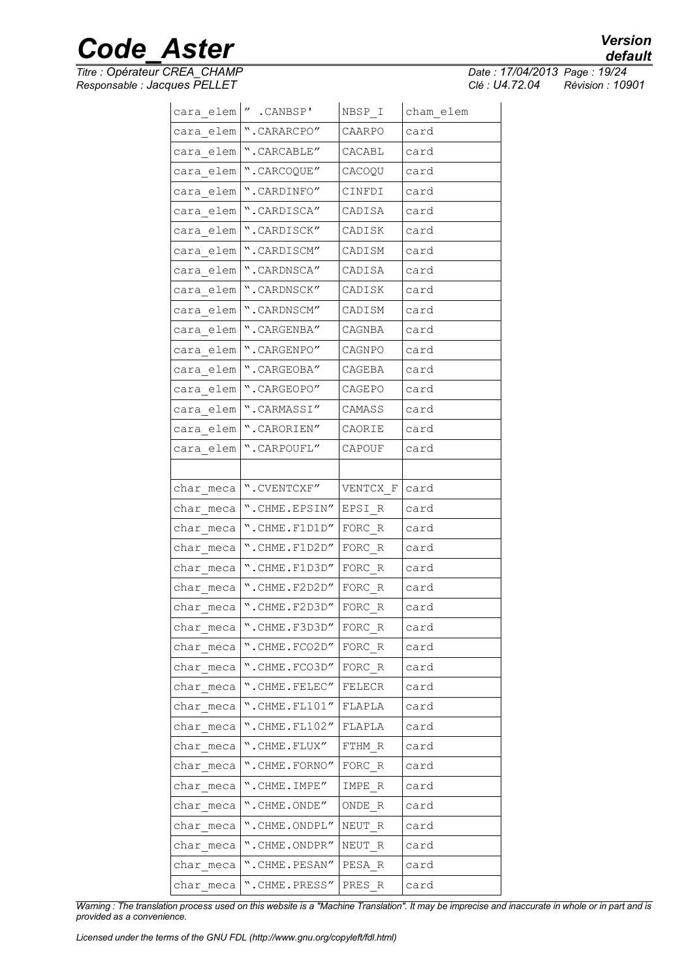*Titre : Opérateur CREA\_CHAMP Date : 17/04/2013 Page : 19/24*

*Responsable : Jacques PELLET Clé : U4.72.04 Révision : 10901*

|             | cara elem  " .CANBSP'             | NBSP I   | cham elem |
|-------------|-----------------------------------|----------|-----------|
|             | cara elem   ".CARARCPO"           | CAARPO   | card      |
|             | cara elem   ".CARCABLE"           | CACABL   | card      |
| cara elem   | ".CARCOQUE"                       | CACOQU   | card      |
| cara elem   | ".CARDINFO"                       | CINFDI   | card      |
| cara elem   | ".CARDISCA"                       | CADISA   | card      |
| cara elem   | ".CARDISCK"                       | CADISK   | card      |
| cara elem   | ".CARDISCM"                       | CADISM   | card      |
| cara elem   | ".CARDNSCA"                       | CADISA   | card      |
| cara elem   | ".CARDNSCK"                       | CADISK   | card      |
| cara elem   | ".CARDNSCM"                       | CADISM   | card      |
| cara elem   | ".CARGENBA"                       | CAGNBA   | card      |
| cara elem   | ".CARGENPO"                       | CAGNPO   | card      |
| cara elem   | ".CARGEOBA"                       | CAGEBA   | card      |
| cara elem   | ".CARGEOPO"                       | CAGEPO   | card      |
|             | cara elem   ".CARMASSI"           | CAMASS   | card      |
|             | cara elem   ".CARORIEN"           | CAORIE   | card      |
|             | cara elem   ". CARPOUFL"          | CAPOUF   | card      |
|             |                                   |          |           |
| char meca   | ".CVENTCXF"                       | VENTCX F | card      |
| char meca   | ".CHME.EPSIN"                     | EPSI R   | card      |
| char meca   | ".CHME.F1D1D"                     | FORC R   | card      |
| char meca   | ".CHME.F1D2D"                     | FORC R   | card      |
| $char$ meca | ".CHME.F1D3D"                     | FORC R   | card      |
| char meca   | ".CHME.F2D2D"                     | FORC R   | card      |
|             | $char$ meca $\sim$ . CHME. F2D3D" | FORC R   | card      |
| char meca   | ".CHME.F3D3D"                     | FORC R   | card      |
| char meca   | ".CHME.FCO2D"                     |          | card      |
| char meca   | ".CHME.FCO3D"                     | FORC R   | card      |
| char meca   | ".CHME.FELEC"                     | FELECR   | card      |
| char meca   | $"$ .CHME.FL $101"$               | FLAPLA   | card      |
| char meca   | $"$ . CHME. FL $102"$             | FLAPLA   | card      |
| char meca   | ".CHME.FLUX"                      | FTHM R   | card      |
| char_meca   | ".CHME.FORNO"                     | FORC R   | card      |
| char meca   | ".CHME.IMPE"                      | IMPE R   | card      |
| char meca   | ".CHME.ONDE"                      | ONDE R   | card      |
| char meca   | ".CHME.ONDPL"                     | NEUT R   | card      |
| char meca   | ".CHME.ONDPR"                     | NEUT R   | card      |
| char meca   | ".CHME.PESAN"                     | PESA R   | card      |
| char meca   | ". CHME. PRESS"                   | PRES R   | card      |

*Warning : The translation process used on this website is a "Machine Translation". It may be imprecise and inaccurate in whole or in part and is provided as a convenience.*

### *default*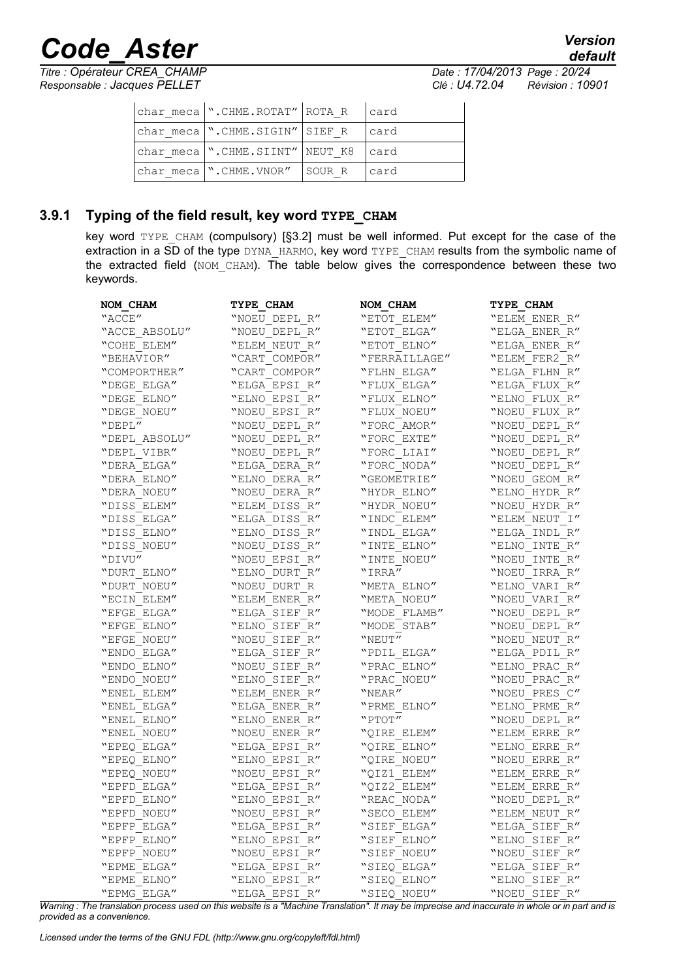*Titre : Opérateur CREA\_CHAMP Date : 17/04/2013 Page : 20/24*

*default Responsable : Jacques PELLET Clé : U4.72.04 Révision : 10901*

| $ char meca $ ".CHME.ROTAT" ROTA R $ card$ |       |
|--------------------------------------------|-------|
| char meca   ".CHME.SIGIN"   SIEF R         | lcard |
| char meca   ".CHME.SIINT"   NEUT K8   card |       |
| $ char \text{meca} $ . CHME. VNOR" SOUR R  | lcard |

#### **3.9.1 Typing of the field result, key word TYPE\_CHAM**

<span id="page-19-0"></span>key word TYPE CHAM (compulsory) [§3.2] must be well informed. Put except for the case of the extraction in a SD of the type DYNA\_HARMO, key word TYPE\_CHAM results from the symbolic name of the extracted field (NOM CHAM). The table below gives the correspondence between these two keywords.

| NOM CHAM      | TYPE CHAM     | NOM CHAM      | TYPE CHAM       |
|---------------|---------------|---------------|-----------------|
| "ACCE"        | "NOEU DEPL R" | "ETOT ELEM"   | "ELEM ENER R"   |
| "ACCE ABSOLU" | "NOEU DEPL R" | "ETOT ELGA"   | "ELGA ENER R"   |
| "COHE ELEM"   | "ELEM NEUT R" | "ETOT ELNO"   | "ELGA ENER R"   |
| "BEHAVIOR"    | "CART COMPOR" | "FERRAILLAGE" | "ELEM FER2 R"   |
| "COMPORTHER"  | "CART COMPOR" | "FLHN ELGA"   | $"ELGA$ FLHN R" |
| "DEGE ELGA"   | "ELGA EPSI R" | "FLUX ELGA"   | "ELGA FLUX R"   |
| "DEGE ELNO"   | "ELNO EPSI R" | "FLUX ELNO"   | "ELNO FLUX R"   |
| "DEGE NOEU"   | "NOEU EPSI R" | "FLUX NOEU"   | "NOEU FLUX R"   |
| $"$ DEPL $"$  | "NOEU DEPL R" | "FORC AMOR"   | "NOEU DEPL R"   |
| "DEPL ABSOLU" | "NOEU DEPL R" | "FORC EXTE"   | "NOEU DEPL R"   |
| "DEPL VIBR"   | "NOEU DEPL R" | "FORC LIAI"   | "NOEU DEPL R"   |
| "DERA ELGA"   | "ELGA DERA R" | "FORC NODA"   | "NOEU DEPL R"   |
| "DERA ELNO"   | "ELNO DERA R" | "GEOMETRIE"   | "NOEU GEOM R"   |
| "DERA NOEU"   | "NOEU DERA R" | "HYDR ELNO"   | "ELNO HYDR R"   |
| "DISS ELEM"   | "ELEM DISS R" | "HYDR NOEU"   | "NOEU HYDR R"   |
| "DISS ELGA"   | "ELGA DISS R" | "INDC ELEM"   | "ELEM NEUT I"   |
| "DISS ELNO"   | "ELNO DISS R" | "INDL ELGA"   | "ELGA INDL R"   |
| "DISS NOEU"   | "NOEU DISS R" | "INTE ELNO"   | "ELNO INTE R"   |
| "DIVU"        | "NOEU EPSI R" | "INTE NOEU"   | "NOEU INTE R"   |
| "DURT ELNO"   | "ELNO DURT R" | "IRRA"        | "NOEU IRRA R"   |
| "DURT NOEU"   | "NOEU DURT R  | "META ELNO"   | "ELNO VARI R"   |
| "ECIN ELEM"   | "ELEM ENER R" | "META NOEU"   | "NOEU VARI R"   |
| "EFGE ELGA"   | "ELGA SIEF R" | "MODE FLAMB"  | "NOEU DEPL R"   |
| "EFGE ELNO"   | "ELNO SIEF R" | "MODE STAB"   | "NOEU DEPL R"   |
| "EFGE NOEU"   | "NOEU SIEF R" | "NEUT"        | "NOEU NEUT R"   |
| "ENDO ELGA"   | "ELGA SIEF R" | "PDIL ELGA"   | "ELGA PDIL R"   |
| "ENDO ELNO"   | "NOEU SIEF R" | "PRAC ELNO"   | "ELNO PRAC R"   |
| "ENDO NOEU"   | "ELNO SIEF R" | "PRAC NOEU"   | "NOEU PRAC R"   |
| "ENEL ELEM"   | "ELEM ENER R" | "NEAR"        | "NOEU PRES C"   |
| "ENEL ELGA"   | "ELGA ENER R" | "PRME ELNO"   | "ELNO PRME R"   |
| "ENEL ELNO"   | "ELNO ENER R" | "PTOT"        | "NOEU DEPL R"   |
| "ENEL NOEU"   | "NOEU ENER R" | "QIRE ELEM"   | "ELEM ERRE R"   |
| "EPEQ ELGA"   | "ELGA EPSI R" | "OIRE ELNO"   | "ELNO ERRE R"   |
| "EPEQ ELNO"   | "ELNO EPSI R" | "QIRE NOEU"   | "NOEU ERRE R"   |
| "EPEQ NOEU"   | "NOEU EPSI R" | "QIZ1 ELEM"   | "ELEM ERRE R"   |
| "EPFD ELGA"   | "ELGA EPSI R" | "QIZ2 ELEM"   | "ELEM ERRE R"   |
| "EPFD ELNO"   | "ELNO EPSI R" | "REAC NODA"   | "NOEU DEPL R"   |
| "EPFD NOEU"   | "NOEU EPSI R" | "SECO ELEM"   | "ELEM NEUT R"   |
| "EPFP ELGA"   | "ELGA EPSI R" | "SIEF ELGA"   | "ELGA SIEF R"   |
| "EPFP ELNO"   | "ELNO EPSI R" | "SIEF ELNO"   | "ELNO SIEF R"   |
| "EPFP NOEU"   | "NOEU EPSI R" | "SIEF NOEU"   | "NOEU SIEF R"   |
| "EPME ELGA"   | "ELGA EPSI R" | "SIEQ ELGA"   | "ELGA SIEF R"   |
| "EPME ELNO"   | "ELNO EPSI R" | "SIEQ ELNO"   | "ELNO SIEF R"   |
| "EPMG ELGA"   | "ELGA EPSI R" | "SIEQ NOEU"   | "NOEU SIEF R"   |

*Warning : The translation process used on this website is a "Machine Translation". It may be imprecise and inaccurate in whole or in part and is provided as a convenience.*

*Licensed under the terms of the GNU FDL (http://www.gnu.org/copyleft/fdl.html)*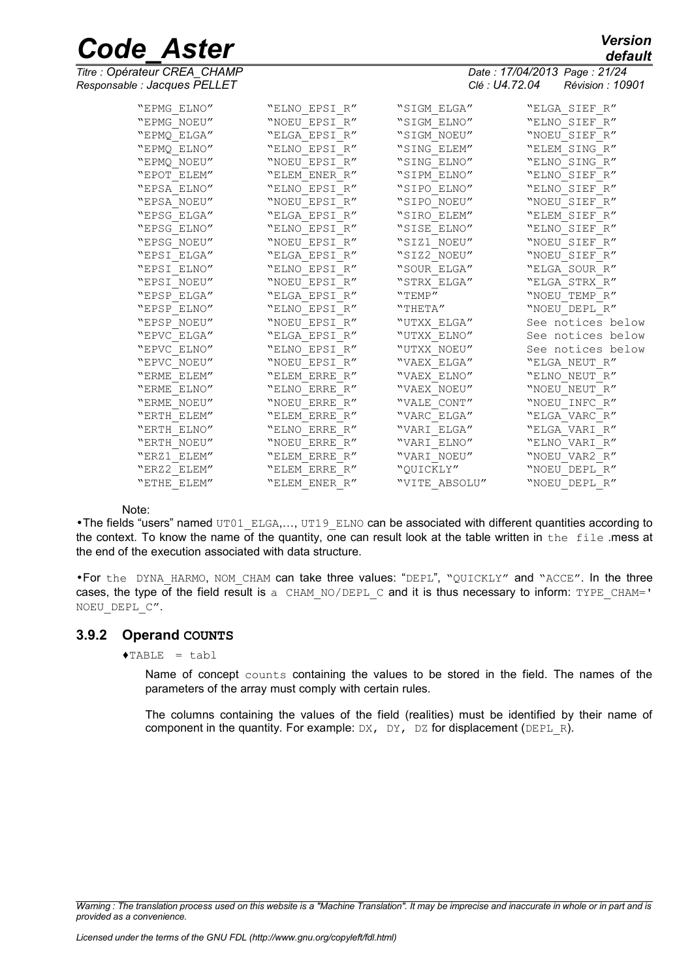*Titre : Opérateur CREA\_CHAMP Date : 17/04/2013 Page : 21/24 Responsable : Jacques PELLET Clé : U4.72.04 Révision : 10901*

|             |               |               | <b>viv . v i.i 느.v i</b><br>1101101011.10001 |
|-------------|---------------|---------------|----------------------------------------------|
| "EPMG ELNO" | "ELNO EPSI R" | "SIGM ELGA"   | "ELGA SIEF R"                                |
| "EPMG NOEU" | "NOEU EPSI R" | "SIGM ELNO"   | "ELNO SIEF R"                                |
| "EPMQ ELGA" | "ELGA EPSI R" | "SIGM NOEU"   | "NOEU SIEF R"                                |
| "EPMQ ELNO" | "ELNO EPSI R" | "SING ELEM"   | "ELEM SING R"                                |
| "EPMO NOEU" | "NOEU EPSI R" | "SING ELNO"   | "ELNO SING R"                                |
| "EPOT ELEM" | "ELEM ENER R" | "SIPM ELNO"   | "ELNO SIEF R"                                |
| "EPSA ELNO" | "ELNO EPSI R" | "SIPO ELNO"   | "ELNO SIEF R"                                |
| "EPSA NOEU" | "NOEU EPSI R" | "SIPO NOEU"   | "NOEU SIEF R"                                |
| "EPSG ELGA" | "ELGA EPSI R" | "SIRO ELEM"   | "ELEM SIEF R"                                |
| "EPSG ELNO" | "ELNO EPSI R" | "SISE ELNO"   | "ELNO SIEF R"                                |
| "EPSG NOEU" | "NOEU EPSI R" | "SIZ1 NOEU"   | "NOEU SIEF R"                                |
| "EPSI ELGA" | "ELGA EPSI R" | "SIZ2 NOEU"   | "NOEU SIEF R"                                |
| "EPSI ELNO" | "ELNO EPSI R" | "SOUR ELGA"   | "ELGA SOUR R"                                |
| "EPSI NOEU" | "NOEU EPSI R" | "STRX ELGA"   | "ELGA STRX R"                                |
| "EPSP ELGA" | "ELGA EPSI R" | "TEMP"        | "NOEU TEMP R"                                |
| "EPSP ELNO" | "ELNO EPSI R" | "THETA"       | "NOEU DEPL R"                                |
| "EPSP NOEU" | "NOEU EPSI R" | "UTXX ELGA"   | See notices below                            |
| "EPVC ELGA" | "ELGA EPSI R" | "UTXX ELNO"   | See notices below                            |
| "EPVC ELNO" | "ELNO EPSI R" | "UTXX NOEU"   | See notices below                            |
| "EPVC NOEU" | "NOEU EPSI R" | "VAEX ELGA"   | "ELGA NEUT R"                                |
| "ERME ELEM" | "ELEM ERRE R" | "VAEX ELNO"   | "ELNO NEUT R"                                |
| "ERME ELNO" | "ELNO ERRE R" | "VAEX NOEU"   | "NOEU NEUT R"                                |
| "ERME NOEU" | "NOEU ERRE R" | "VALE CONT"   | "NOEU INFC R"                                |
| "ERTH ELEM" | "ELEM ERRE R" | "VARC ELGA"   | "ELGA VARC R"                                |
| "ERTH ELNO" | "ELNO ERRE R" | "VARI ELGA"   | "ELGA VARI R"                                |
| "ERTH NOEU" | "NOEU ERRE R" | "VARI ELNO"   | "ELNO VARI R"                                |
| "ERZ1 ELEM" | "ELEM ERRE R" | "VARI NOEU"   | "NOEU VAR2 R"                                |
| "ERZ2 ELEM" | "ELEM ERRE R" | "OUICKLY"     | "NOEU DEPL R"                                |
| "ETHE ELEM" | "ELEM ENER R" | "VITE ABSOLU" | "NOEU DEPL R"                                |

#### Note:

• The fields "users" named UT01\_ELGA,..., UT19\_ELNO can be associated with different quantities according to the context. To know the name of the quantity, one can result look at the table written in the file .mess at the end of the execution associated with data structure.

•For the DYNA HARMO, NOM CHAM can take three values: "DEPL", "QUICKLY" and "ACCE". In the three cases, the type of the field result is a CHAM\_NO/DEPL\_C and it is thus necessary to inform: TYPE\_CHAM=' NOEU\_DEPL\_C".

#### **3.9.2 Operand COUNTS**

#### <span id="page-20-0"></span> $\triangle$ TABLE = tabl

Name of concept counts containing the values to be stored in the field. The names of the parameters of the array must comply with certain rules.

The columns containing the values of the field (realities) must be identified by their name of component in the quantity. For example:  $DX$ ,  $DY$ ,  $DZ$  for displacement ( $DEPL$  R).

*default*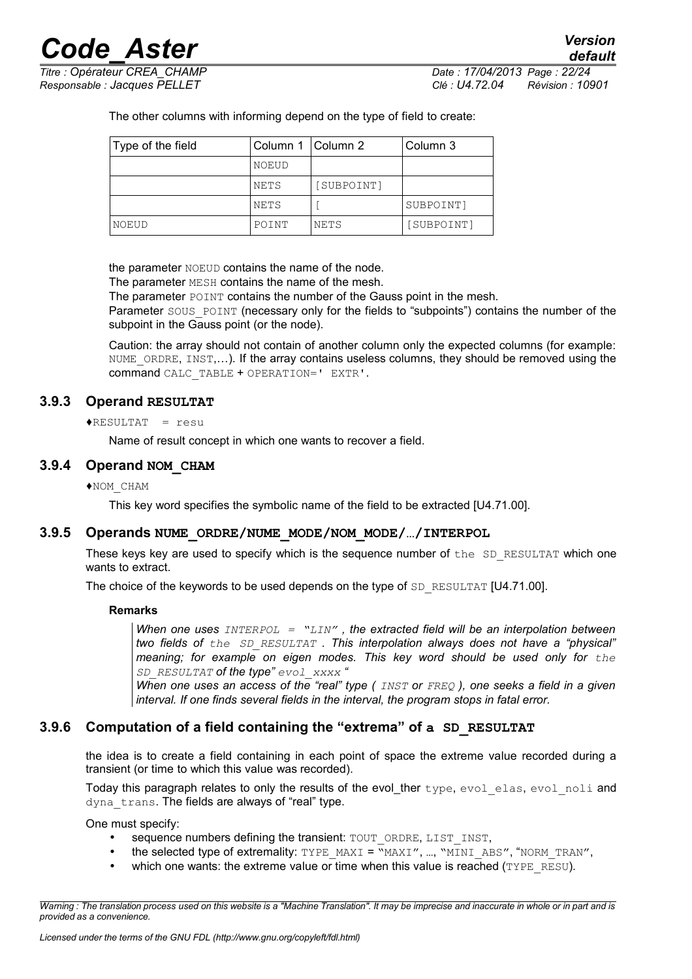*Titre : Opérateur CREA\_CHAMP Date : 17/04/2013 Page : 22/24 Responsable : Jacques PELLET Clé : U4.72.04 Révision : 10901*

*default*

The other columns with informing depend on the type of field to create:

| Type of the field | Column 1   Column 2 |            | Column 3   |
|-------------------|---------------------|------------|------------|
|                   | NOEUD               |            |            |
|                   | NETS                | [SUBPOINT] |            |
|                   | NETS                |            | SUBPOINT]  |
| NOEUD             | POINT               | NETS       | [SUBPOINT] |

the parameter NOEUD contains the name of the node.

The parameter MESH contains the name of the mesh.

The parameter POINT contains the number of the Gauss point in the mesh.

Parameter SOUS POINT (necessary only for the fields to "subpoints") contains the number of the subpoint in the Gauss point (or the node).

Caution: the array should not contain of another column only the expected columns (for example: NUME ORDRE, INST,...). If the array contains useless columns, they should be removed using the command CALC\_TABLE + OPERATION=' EXTR'.

#### **3.9.3 Operand RESULTAT**

<span id="page-21-3"></span>♦RESULTAT = resu

Name of result concept in which one wants to recover a field.

#### **3.9.4 Operand NOM\_CHAM**

#### <span id="page-21-2"></span>♦NOM\_CHAM

This key word specifies the symbolic name of the field to be extracted [U4.71.00].

#### **3.9.5 Operands NUME\_ORDRE/NUME\_MODE/NOM\_MODE/…/INTERPOL**

<span id="page-21-1"></span>These keys key are used to specify which is the sequence number of the  $SD$  RESULTAT which one wants to extract.

The choice of the keywords to be used depends on the type of SD\_RESULTAT [U4.71.00].

#### **Remarks**

*When one uses INTERPOL = "LIN" , the extracted field will be an interpolation between two fields of the SD\_RESULTAT . This interpolation always does not have a "physical" meaning; for example on eigen modes. This key word should be used only for the SD\_RESULTAT of the type" evol\_xxxx "*

*When one uses an access of the "real" type ( INST or FREQ ), one seeks a field in a given interval. If one finds several fields in the interval, the program stops in fatal error.*

#### **3.9.6 Computation of a field containing the "extrema" of a SD\_RESULTAT**

<span id="page-21-0"></span>the idea is to create a field containing in each point of space the extreme value recorded during a transient (or time to which this value was recorded).

Today this paragraph relates to only the results of the evol ther type, evol elas, evol noli and dyna trans. The fields are always of "real" type.

One must specify:

- sequence numbers defining the transient: TOUT\_ORDRE, LIST\_INST,
- the selected type of extremality: TYPE\_MAXI = "MAXI", ..., "MINI\_ABS", "NORM\_TRAN",
- which one wants: the extreme value or time when this value is reached ( $TYPE$ <sub>RESU</sub>).

*Warning : The translation process used on this website is a "Machine Translation". It may be imprecise and inaccurate in whole or in part and is provided as a convenience.*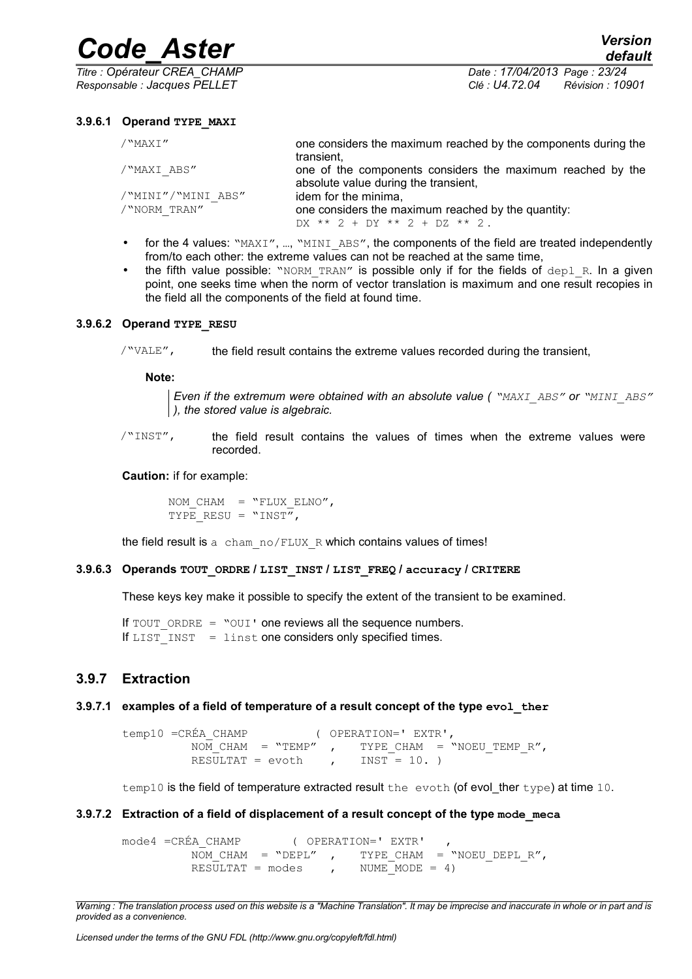*Titre : Opérateur CREA\_CHAMP Date : 17/04/2013 Page : 23/24*

*Responsable : Jacques PELLET Clé : U4.72.04 Révision : 10901*

#### **3.9.6.1 Operand TYPE\_MAXI**

| /"MAXI"            | one considers the maximum reached by the components during the<br>transient,                       |
|--------------------|----------------------------------------------------------------------------------------------------|
| /"MAXI ABS"        | one of the components considers the maximum reached by the<br>absolute value during the transient, |
| /"MINI"/"MINI ABS" | idem for the minima,                                                                               |
| /"NORM TRAN"       | one considers the maximum reached by the quantity:                                                 |
|                    | $DX ** 2 + DY ** 2 + DZ ** 2.$                                                                     |

- for the 4 values: "MAXI", ..., "MINI\_ABS", the components of the field are treated independently from/to each other: the extreme values can not be reached at the same time,
- the fifth value possible: "NORM TRAN" is possible only if for the fields of  $dep1R$ . In a given point, one seeks time when the norm of vector translation is maximum and one result recopies in the field all the components of the field at found time.

#### **3.9.6.2 Operand TYPE\_RESU**

/"VALE", the field result contains the extreme values recorded during the transient,

#### **Note:**

*Even if the extremum were obtained with an absolute value ( "MAXI\_ABS" or "MINI\_ABS" ), the stored value is algebraic.*

/"INST", the field result contains the values of times when the extreme values were recorded.

#### **Caution:** if for example:

NOM CHAM =  $"FLUX ELNO",$ TYPE RESU =  $"INST",$ 

the field result is a cham\_no/FLUX\_R which contains values of times!

#### **3.9.6.3 Operands TOUT\_ORDRE / LIST\_INST / LIST\_FREQ / accuracy / CRITERE**

These keys key make it possible to specify the extent of the transient to be examined.

If  $TOUT$  ORDRE = "OUI' one reviews all the sequence numbers. If LIST INST = linst one considers only specified times.

#### <span id="page-22-0"></span>**3.9.7 Extraction**

#### **3.9.7.1 examples of a field of temperature of a result concept of the type evol\_ther**

temp10 =CRÉA\_CHAMP ( OPERATION=' EXTR',  $\overline{NOM}$  CHAM = "TEMP" , TYPE\_CHAM = "NOEU\_TEMP\_R", RESULTAT =  $evoth$ , INST = 10.)

temp10 is the field of temperature extracted result the evoth (of evol ther type) at time 10.

#### **3.9.7.2 Extraction of a field of displacement of a result concept of the type mode\_meca**

mode4 =CRÉA\_CHAMP ( OPERATION=' EXTR'<br>NOM CHAM = "DEPL" , TYPE CHAM TYPE CHAM = "NOEU DEPL  $R''$ , RESULTAT = modes , NUME MODE = 4)